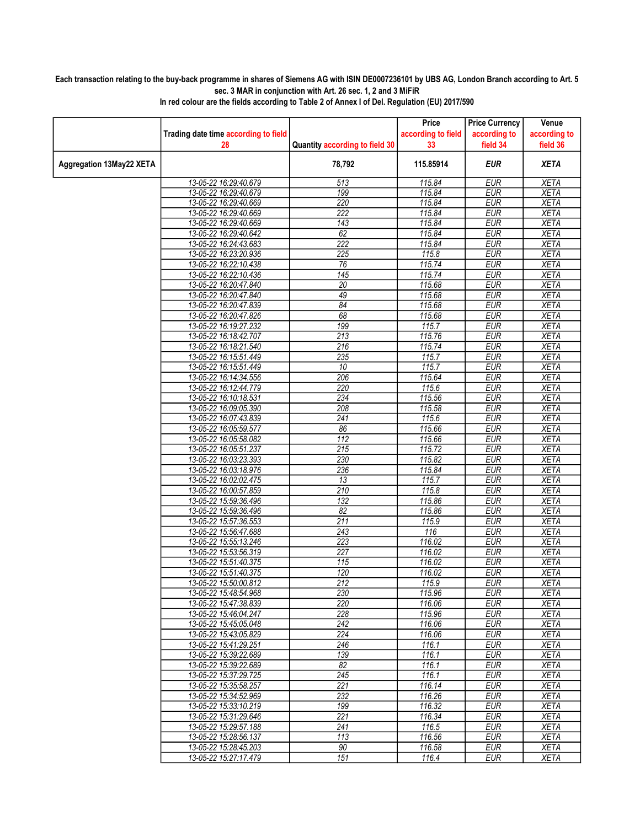## Each transaction relating to the buy-back programme in shares of Siemens AG with ISIN DE0007236101 by UBS AG, London Branch according to Art. 5 sec. 3 MAR in conjunction with Art. 26 sec. 1, 2 and 3 MiFiR

|                          |                                                |                                | Price              | <b>Price Currency</b>    | Venue                      |
|--------------------------|------------------------------------------------|--------------------------------|--------------------|--------------------------|----------------------------|
|                          | Trading date time according to field           |                                | according to field | according to             | according to               |
|                          | 28                                             | Quantity according to field 30 | 33                 | field 34                 | field 36                   |
| Aggregation 13May22 XETA |                                                | 78,792                         | 115.85914          | <b>EUR</b>               | <b>XETA</b>                |
|                          | 13-05-22 16:29:40.679                          | 513                            | 115.84             | <b>EUR</b>               | <b>XETA</b>                |
|                          | 13-05-22 16:29:40.679                          | 199                            | 115.84             | <b>EUR</b>               | <b>XETA</b>                |
|                          | 13-05-22 16:29:40.669                          | 220                            | 115.84             | <b>EUR</b>               | <b>XETA</b>                |
|                          | 13-05-22 16:29:40.669                          | 222                            | 115.84             | <b>EUR</b>               | <b>XETA</b>                |
|                          | 13-05-22 16:29:40.669                          | 143                            | 115.84             | <b>EUR</b>               | <b>XETA</b>                |
|                          | 13-05-22 16:29:40.642                          | 62                             | 115.84             | EUR                      | <b>XETA</b>                |
|                          | 13-05-22 16:24:43.683                          | 222                            | 115.84             | <b>EUR</b>               | <b>XETA</b>                |
|                          | 13-05-22 16:23:20.936                          | $\overline{225}$               | 115.8              | <b>EUR</b>               | <b>XETA</b>                |
|                          | 13-05-22 16:22:10.438                          | 76                             | 115.74             | <b>EUR</b>               | <b>XETA</b>                |
|                          | 13-05-22 16:22:10.436                          | 145                            | 115.74             | <b>EUR</b>               | <b>XETA</b>                |
|                          | 13-05-22 16:20:47.840                          | 20                             | 115.68             | <b>EUR</b>               | <b>XETA</b>                |
|                          | 13-05-22 16:20:47.840                          | 49                             | 115.68             | <b>EUR</b>               | <b>XETA</b>                |
|                          | 13-05-22 16:20:47.839                          | 84                             | 115.68             | <b>EUR</b>               | <b>XETA</b>                |
|                          | 13-05-22 16:20:47.826                          | 68                             | 115.68             | <b>EUR</b>               | <b>XETA</b>                |
|                          | 13-05-22 16:19:27.232                          | 199                            | 115.7              | <b>EUR</b>               | <b>XETA</b>                |
|                          | 13-05-22 16:18:42.707                          | 213                            | 115.76             | <b>EUR</b>               | <b>XETA</b>                |
|                          | 13-05-22 16:18:21.540                          | 216                            | 115.74             | <b>EUR</b>               | <b>XETA</b>                |
|                          | 13-05-22 16:15:51.449                          | 235                            | 115.7              | <b>EUR</b>               | <b>XETA</b>                |
|                          | 13-05-22 16:15:51.449                          | 10                             | 115.7              | <b>EUR</b>               | <b>XETA</b>                |
|                          | 13-05-22 16:14:34.556                          | 206                            | 115.64             | <b>EUR</b>               | <b>XETA</b>                |
|                          | 13-05-22 16:12:44.779                          | 220                            | 115.6              | <b>EUR</b>               | <b>XETA</b>                |
|                          | 13-05-22 16:10:18.531                          | 234                            | 115.56             | <b>EUR</b>               | <b>XETA</b>                |
|                          | 13-05-22 16:09:05.390                          | 208                            | 115.58             | <b>EUR</b>               | <b>XETA</b>                |
|                          | 13-05-22 16:07:43.839                          | $\overline{241}$               | 115.6              | <b>EUR</b>               | <b>XETA</b>                |
|                          | 13-05-22 16:05:59.577                          | 86                             | 115.66             | <b>EUR</b>               | <b>XETA</b>                |
|                          | 13-05-22 16:05:58.082                          | $\overline{112}$               | 115.66             | <b>EUR</b>               | <b>XETA</b>                |
|                          | 13-05-22 16:05:51.237                          | 215<br>230                     | 115.72<br>115.82   | <b>EUR</b><br><b>EUR</b> | <b>XETA</b><br><b>XETA</b> |
|                          | 13-05-22 16:03:23.393<br>13-05-22 16:03:18.976 | 236                            | 115.84             | <b>EUR</b>               | <b>XETA</b>                |
|                          |                                                | 13                             |                    | <b>EUR</b>               | <b>XETA</b>                |
|                          | 13-05-22 16:02:02.475<br>13-05-22 16:00:57.859 | 210                            | 115.7<br>115.8     | <b>EUR</b>               | <b>XETA</b>                |
|                          | 13-05-22 15:59:36.496                          | 132                            | 115.86             | <b>EUR</b>               | <b>XETA</b>                |
|                          | 13-05-22 15:59:36.496                          | $\overline{82}$                | 115.86             | <b>EUR</b>               | <b>XETA</b>                |
|                          | 13-05-22 15:57:36.553                          | 211                            | 115.9              | <b>EUR</b>               | <b>XETA</b>                |
|                          | 13-05-22 15:56:47.688                          | 243                            | 116                | <b>EUR</b>               | <b>XETA</b>                |
|                          | 13-05-22 15:55:13.246                          | 223                            | 116.02             | <b>EUR</b>               | <b>XETA</b>                |
|                          | 13-05-22 15:53:56.319                          | 227                            | 116.02             | <b>EUR</b>               | <b>XETA</b>                |
|                          | 13-05-22 15:51:40.375                          | 115                            | 116.02             | <b>EUR</b>               | <b>XETA</b>                |
|                          | 13-05-22 15:51:40.375                          | 120                            | 116.02             | <b>EUR</b>               | <b>XETA</b>                |
|                          | 13-05-22 15:50:00.812                          | 212                            | 115.9              | <b>EUR</b>               | <b>XETA</b>                |
|                          | 13-05-22 15:48:54.968                          | 230                            | 115.96             | EUR                      | XETA                       |
|                          | 13-05-22 15:47:38.839                          | 220                            | 116.06             | <b>EUR</b>               | <b>XETA</b>                |
|                          | 13-05-22 15:46:04.247                          | 228                            | 115.96             | <b>EUR</b>               | <b>XETA</b>                |
|                          | 13-05-22 15:45:05.048                          | 242                            | 116.06             | <b>EUR</b>               | <b>XETA</b>                |
|                          | 13-05-22 15:43:05.829                          | 224                            | 116.06             | <b>EUR</b>               | <b>XETA</b>                |
|                          | 13-05-22 15:41:29.251                          | 246                            | 116.1              | <b>EUR</b>               | XETA                       |
|                          | 13-05-22 15:39:22.689                          | 139                            | 116.1              | <b>EUR</b>               | <b>XETA</b>                |
|                          | 13-05-22 15:39:22.689                          | 82                             | 116.1              | <b>EUR</b>               | <b>XETA</b>                |
|                          | 13-05-22 15:37:29.725                          | 245                            | 116.1              | <b>EUR</b>               | <b>XETA</b>                |
|                          | 13-05-22 15:35:58.257                          | 221                            | 116.14             | <b>EUR</b>               | <b>XETA</b>                |
|                          | 13-05-22 15:34:52.969                          | 232                            | 116.26             | <b>EUR</b>               | <b>XETA</b>                |
|                          | 13-05-22 15:33:10.219                          | 199                            | 116.32             | <b>EUR</b>               | <b>XETA</b>                |
|                          | 13-05-22 15:31:29.646                          | 221                            | 116.34             | <b>EUR</b>               | <b>XETA</b>                |
|                          | 13-05-22 15:29:57.188                          | $\overline{241}$               | 116.5              | <b>EUR</b>               | <b>XETA</b>                |
|                          | 13-05-22 15:28:56.137                          | 113                            | 116.56             | <b>EUR</b>               | <b>XETA</b>                |
|                          | 13-05-22 15:28:45.203                          | 90                             | 116.58             | <b>EUR</b>               | <b>XETA</b>                |
|                          | 13-05-22 15:27:17.479                          | 151                            | 116.4              | <b>EUR</b>               | <b>XETA</b>                |

In red colour are the fields according to Table 2 of Annex I of Del. Regulation (EU) 2017/590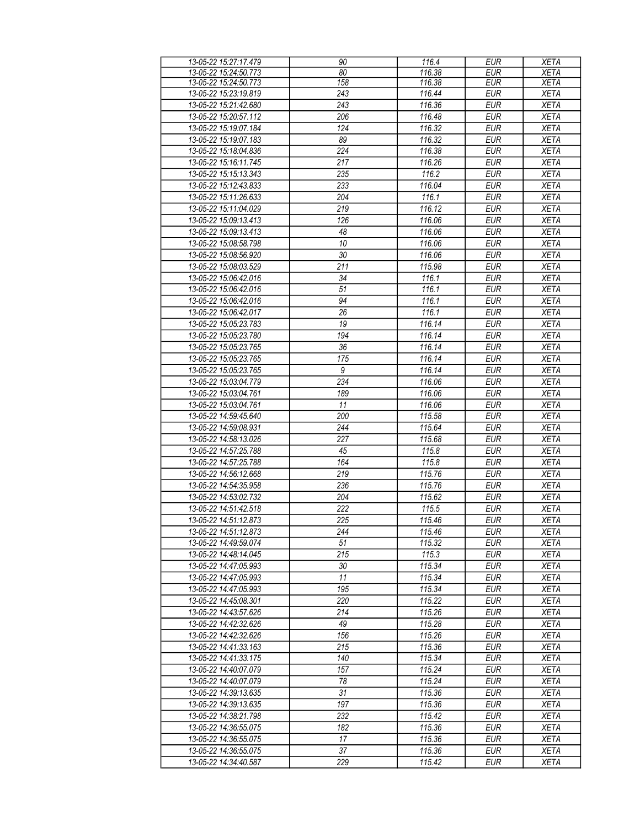| 13-05-22 15:27:17.479                          | 90               | 116.4  | <b>EUR</b> | <b>XETA</b> |
|------------------------------------------------|------------------|--------|------------|-------------|
| 13-05-22 15:24:50.773                          | 80               | 116.38 | <b>EUR</b> | <b>XETA</b> |
| 13-05-22 15:24:50.773                          | 158              | 116.38 | <b>EUR</b> | <b>XETA</b> |
| 13-05-22 15:23:19.819                          | 243              | 116.44 | <b>EUR</b> | <b>XETA</b> |
| 13-05-22 15:21:42.680                          | 243              | 116.36 | <b>EUR</b> | <b>XETA</b> |
| 13-05-22 15:20:57.112                          | 206              | 116.48 | <b>EUR</b> | <b>XETA</b> |
| 13-05-22 15:19:07.184                          | 124              | 116.32 | <b>EUR</b> | <b>XETA</b> |
|                                                |                  |        |            |             |
| 13-05-22 15:19:07.183                          | 89               | 116.32 | <b>EUR</b> | <b>XETA</b> |
| 13-05-22 15:18:04.836                          | 224              | 116.38 | <b>EUR</b> | <b>XETA</b> |
| 13-05-22 15:16:11.745                          | 217              | 116.26 | <b>EUR</b> | <b>XETA</b> |
| 13-05-22 15:15:13.343                          | 235              | 116.2  | <b>EUR</b> | <b>XETA</b> |
| 13-05-22 15:12:43.833                          | 233              | 116.04 | <b>EUR</b> | <b>XETA</b> |
| 13-05-22 15:11:26.633                          | 204              | 116.1  | <b>EUR</b> | <b>XETA</b> |
| 13-05-22 15:11:04.029                          | 219              | 116.12 | <b>EUR</b> | <b>XETA</b> |
| 13-05-22 15:09:13.413                          | 126              | 116.06 | <b>EUR</b> | <b>XETA</b> |
| 13-05-22 15:09:13.413                          | 48               | 116.06 | <b>EUR</b> | <b>XETA</b> |
| 13-05-22 15:08:58.798                          | 10               | 116.06 | <b>EUR</b> | <b>XETA</b> |
| 13-05-22 15:08:56.920                          | 30               | 116.06 | <b>EUR</b> | <b>XETA</b> |
| 13-05-22 15:08:03.529                          | 211              | 115.98 | <b>EUR</b> | <b>XETA</b> |
| 13-05-22 15:06:42.016                          | 34               | 116.1  | <b>EUR</b> | <b>XETA</b> |
| 13-05-22 15:06:42.016                          | 51               | 116.1  | <b>EUR</b> | <b>XETA</b> |
|                                                | 94               |        |            |             |
| 13-05-22 15:06:42.016                          |                  | 116.1  | <b>EUR</b> | <b>XETA</b> |
| 13-05-22 15:06:42.017                          | $\overline{26}$  | 116.1  | EUR        | <b>XETA</b> |
| 13-05-22 15:05:23.783                          | 19               | 116.14 | <b>EUR</b> | <b>XETA</b> |
| 13-05-22 15:05:23.780                          | 194              | 116.14 | EUR        | <b>XETA</b> |
| 13-05-22 15:05:23.765                          | 36               | 116.14 | <b>EUR</b> | <b>XETA</b> |
| 13-05-22 15:05:23.765                          | 175              | 116.14 | <b>EUR</b> | <b>XETA</b> |
| 13-05-22 15:05:23.765                          | $\boldsymbol{9}$ | 116.14 | <b>EUR</b> | <b>XETA</b> |
| 13-05-22 15:03:04.779                          | 234              | 116.06 | <b>EUR</b> | <b>XETA</b> |
| 13-05-22 15:03:04.761                          | 189              | 116.06 | <b>EUR</b> | <b>XETA</b> |
| 13-05-22 15:03:04.761                          | 11               | 116.06 | <b>EUR</b> | <b>XETA</b> |
| 13-05-22 14:59:45.640                          | 200              | 115.58 | <b>EUR</b> | <b>XETA</b> |
| 13-05-22 14:59:08.931                          | 244              | 115.64 | <b>EUR</b> | <b>XETA</b> |
| 13-05-22 14:58:13.026                          | 227              | 115.68 | <b>EUR</b> | <b>XETA</b> |
| 13-05-22 14:57:25.788                          | 45               | 115.8  | <b>EUR</b> | <b>XETA</b> |
| 13-05-22 14:57:25.788                          | 164              | 115.8  | <b>EUR</b> | <b>XETA</b> |
| 13-05-22 14:56:12.668                          | 219              | 115.76 | <b>EUR</b> | <b>XETA</b> |
|                                                |                  |        |            |             |
| 13-05-22 14:54:35.958<br>13-05-22 14:53:02.732 | 236              | 115.76 | <b>EUR</b> | <b>XETA</b> |
|                                                | 204              | 115.62 | <b>EUR</b> | <b>XETA</b> |
| 13-05-22 14:51:42.518                          | 222              | 115.5  | <b>EUR</b> | <b>XETA</b> |
| 13-05-22 14:51:12.873                          | 225              | 115.46 | EUR        | <b>XETA</b> |
| 13-05-22 14:51:12.873                          | 244              | 115.46 | <b>EUR</b> | <b>XETA</b> |
| 13-05-22 14:49:59.074                          | 51               | 115.32 | EUR        | <b>XETA</b> |
| 13-05-22 14:48:14.045                          | 215              | 115.3  | <b>EUR</b> | <b>XETA</b> |
| 13-05-22 14:47:05.993                          | 30               | 115.34 | <b>EUR</b> | <b>XETA</b> |
| 13-05-22 14:47:05.993                          | 11               | 115.34 | <b>EUR</b> | <b>XETA</b> |
| 13-05-22 14:47:05.993                          | 195              | 115.34 | <b>EUR</b> | <b>XETA</b> |
| 13-05-22 14:45:08.301                          | 220              | 115.22 | <b>EUR</b> | <b>XETA</b> |
| 13-05-22 14:43:57.626                          | 214              | 115.26 | <b>EUR</b> | <b>XETA</b> |
| 13-05-22 14:42:32.626                          | 49               | 115.28 | <b>EUR</b> | <b>XETA</b> |
| 13-05-22 14:42:32.626                          | 156              | 115.26 | <b>EUR</b> | <b>XETA</b> |
| 13-05-22 14:41:33.163                          | 215              | 115.36 | <b>EUR</b> | <b>XETA</b> |
| 13-05-22 14:41:33.175                          | 140              | 115.34 | <b>EUR</b> | <b>XETA</b> |
| 13-05-22 14:40:07.079                          | 157              | 115.24 | <b>EUR</b> | <b>XETA</b> |
| 13-05-22 14:40:07.079                          | 78               | 115.24 | <b>EUR</b> | <b>XETA</b> |
| 13-05-22 14:39:13.635                          | 31               | 115.36 | <b>EUR</b> | <b>XETA</b> |
|                                                | 197              | 115.36 |            |             |
| 13-05-22 14:39:13.635                          |                  |        | <b>EUR</b> | <b>XETA</b> |
| 13-05-22 14:38:21.798                          | 232              | 115.42 | <b>EUR</b> | <b>XETA</b> |
| 13-05-22 14:36:55.075                          | 182              | 115.36 | <b>EUR</b> | <b>XETA</b> |
| 13-05-22 14:36:55.075                          | 17               | 115.36 | <b>EUR</b> | <b>XETA</b> |
| 13-05-22 14:36:55.075                          | 37               | 115.36 | <b>EUR</b> | <b>XETA</b> |
| 13-05-22 14:34:40.587                          | 229              | 115.42 | <b>EUR</b> | <b>XETA</b> |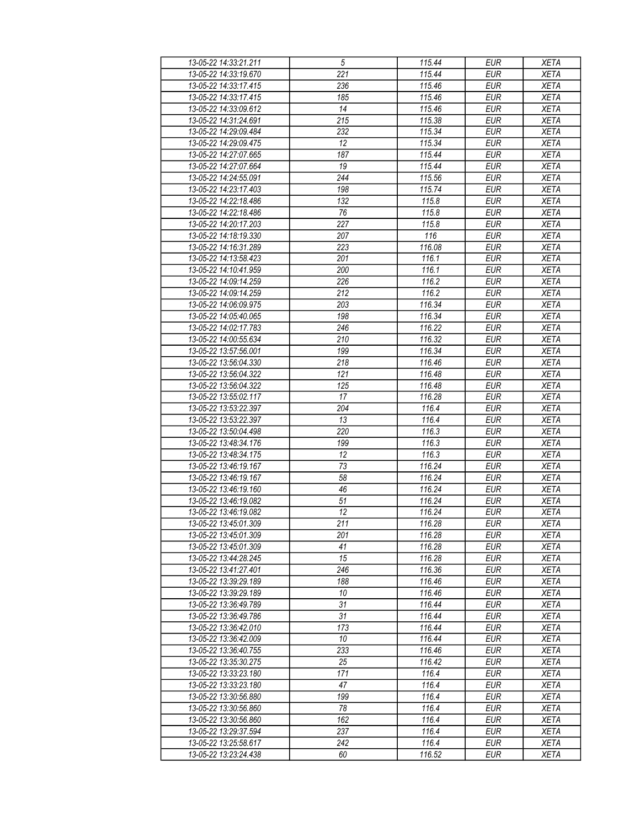| 13-05-22 14:33:21.211                          | $\sqrt{5}$       | 115.44           | <b>EUR</b>               | <b>XETA</b>                |
|------------------------------------------------|------------------|------------------|--------------------------|----------------------------|
| 13-05-22 14:33:19.670                          | 221              | 115.44           | <b>EUR</b>               | <b>XETA</b>                |
| 13-05-22 14:33:17.415                          | 236              | 115.46           | <b>EUR</b>               | <b>XETA</b>                |
| 13-05-22 14:33:17.415                          | 185              | 115.46           | <b>EUR</b>               | <b>XETA</b>                |
| 13-05-22 14:33:09.612                          | 14               | 115.46           | <b>EUR</b>               | <b>XETA</b>                |
| 13-05-22 14:31:24.691                          | 215              | 115.38           | <b>EUR</b>               | <b>XETA</b>                |
| 13-05-22 14:29:09.484                          | 232              | 115.34           | <b>EUR</b>               | <b>XETA</b>                |
| 13-05-22 14:29:09.475                          | 12               | 115.34           | <b>EUR</b>               | <b>XETA</b>                |
| 13-05-22 14:27:07.665                          | 187              | 115.44           | <b>EUR</b>               | <b>XETA</b>                |
| 13-05-22 14:27:07.664                          | 19               | 115.44           | <b>EUR</b>               | <b>XETA</b>                |
| 13-05-22 14:24:55.091                          | 244              | 115.56           | <b>EUR</b>               | <b>XETA</b>                |
| 13-05-22 14:23:17.403                          | 198              | 115.74           | <b>EUR</b>               | <b>XETA</b>                |
| 13-05-22 14:22:18.486                          | 132              | 115.8            | <b>EUR</b>               | <b>XETA</b>                |
| 13-05-22 14:22:18.486                          | 76               | 115.8            | <b>EUR</b>               | <b>XETA</b>                |
| 13-05-22 14:20:17.203                          | $\overline{227}$ | 115.8            | <b>EUR</b>               | <b>XETA</b>                |
| 13-05-22 14:18:19.330                          | 207              | 116              | <b>EUR</b>               | <b>XETA</b>                |
| 13-05-22 14:16:31.289                          | 223              | 116.08           | <b>EUR</b>               | <b>XETA</b>                |
| 13-05-22 14:13:58.423                          | 201              | 116.1            | <b>EUR</b>               | <b>XETA</b>                |
| 13-05-22 14:10:41.959                          | 200              | 116.1            | <b>EUR</b>               | <b>XETA</b>                |
| 13-05-22 14:09:14.259                          | 226              | 116.2            | <b>EUR</b>               | <b>XETA</b>                |
| 13-05-22 14:09:14.259                          | 212              | 116.2            | <b>EUR</b>               | <b>XETA</b>                |
| 13-05-22 14:06:09.975                          | 203              | 116.34           | <b>EUR</b>               | <b>XETA</b>                |
| 13-05-22 14:05:40.065                          | 198              | 116.34           | <b>EUR</b>               | <b>XETA</b>                |
| 13-05-22 14:02:17.783                          | 246              | 116.22           | <b>EUR</b>               | <b>XETA</b>                |
| 13-05-22 14:00:55.634                          | 210              | 116.32           | <b>EUR</b>               | <b>XETA</b>                |
| 13-05-22 13:57:56.001                          | 199              | 116.34           | <b>EUR</b>               | <b>XETA</b>                |
| 13-05-22 13:56:04.330                          | 218              | 116.46           | <b>EUR</b>               | <b>XETA</b>                |
| 13-05-22 13:56:04.322                          | 121              | 116.48           | <b>EUR</b>               | <b>XETA</b>                |
| 13-05-22 13:56:04.322                          | 125              | 116.48           | <b>EUR</b>               | <b>XETA</b>                |
| 13-05-22 13:55:02.117                          | 17               | 116.28           | <b>EUR</b>               | <b>XETA</b>                |
| 13-05-22 13:53:22.397                          | 204              | 116.4            | <b>EUR</b>               | <b>XETA</b>                |
| 13-05-22 13:53:22.397                          | 13               | 116.4            | <b>EUR</b>               | <b>XETA</b>                |
| 13-05-22 13:50:04.498                          | 220              | 116.3            | <b>EUR</b>               | <b>XETA</b>                |
| 13-05-22 13:48:34.176                          | 199              | 116.3            | <b>EUR</b>               | <b>XETA</b>                |
| 13-05-22 13:48:34.175                          | 12               | 116.3            | <b>EUR</b>               | <b>XETA</b>                |
| 13-05-22 13:46:19.167                          | 73               | 116.24           | <b>EUR</b>               | <b>XETA</b>                |
| 13-05-22 13:46:19.167                          | 58               | 116.24           | <b>EUR</b>               | <b>XETA</b>                |
| 13-05-22 13:46:19.160                          | 46               | 116.24           | <b>EUR</b>               |                            |
| 13-05-22 13:46:19.082                          | 51               | 116.24           | <b>EUR</b>               | <b>XETA</b><br><b>XETA</b> |
| 13-05-22 13:46:19.082                          | $\overline{12}$  | 116.24           | <b>EUR</b>               | <b>XETA</b>                |
| 13-05-22 13:45:01.309                          | $\overline{211}$ | 116.28           | EUR                      | <b>XETA</b>                |
| 13-05-22 13:45:01.309                          | 201              | 116.28           | <b>EUR</b>               | <b>XETA</b>                |
|                                                |                  |                  |                          |                            |
| 13-05-22 13:45:01.309<br>13-05-22 13:44:28.245 | 41<br>15         | 116.28<br>116.28 | <b>EUR</b><br><b>EUR</b> | <b>XETA</b><br><b>XETA</b> |
|                                                | 246              |                  | <b>EUR</b>               |                            |
| 13-05-22 13:41:27.401<br>13-05-22 13:39:29.189 | 188              | 116.36<br>116.46 | <b>EUR</b>               | <b>XETA</b><br><b>XETA</b> |
|                                                |                  |                  |                          |                            |
| 13-05-22 13:39:29.189                          | 10               | 116.46           | <b>EUR</b>               | <b>XETA</b>                |
| 13-05-22 13:36:49.789<br>13-05-22 13:36:49.786 | 31<br>31         | 116.44<br>116.44 | <b>EUR</b><br><b>EUR</b> | <b>XETA</b><br><b>XETA</b> |
|                                                |                  |                  |                          |                            |
| 13-05-22 13:36:42.010                          | 173              | 116.44           | <b>EUR</b>               | <b>XETA</b>                |
| 13-05-22 13:36:42.009<br>13-05-22 13:36:40.755 | 10               | 116.44           | <b>EUR</b>               | <b>XETA</b>                |
|                                                | 233              | 116.46           | <b>EUR</b>               | <b>XETA</b>                |
| 13-05-22 13:35:30.275                          | 25               | 116.42           | <b>EUR</b>               | <b>XETA</b>                |
| 13-05-22 13:33:23.180                          | 171              | 116.4            | <b>EUR</b>               | <b>XETA</b>                |
| 13-05-22 13:33:23.180                          | 47               | 116.4            | <b>EUR</b>               | <b>XETA</b>                |
| 13-05-22 13:30:56.880                          | 199              | 116.4            | <b>EUR</b>               | <b>XETA</b>                |
| 13-05-22 13:30:56.860                          | 78               | 116.4            | <b>EUR</b>               | <b>XETA</b>                |
| 13-05-22 13:30:56.860                          | 162              | 116.4            | <b>EUR</b>               | <b>XETA</b>                |
| 13-05-22 13:29:37.594                          | 237              | 116.4            | <b>EUR</b>               | <b>XETA</b>                |
| 13-05-22 13:25:58.617                          | 242              | 116.4            | <b>EUR</b>               | <b>XETA</b>                |
| 13-05-22 13:23:24.438                          | 60               | 116.52           | <b>EUR</b>               | <b>XETA</b>                |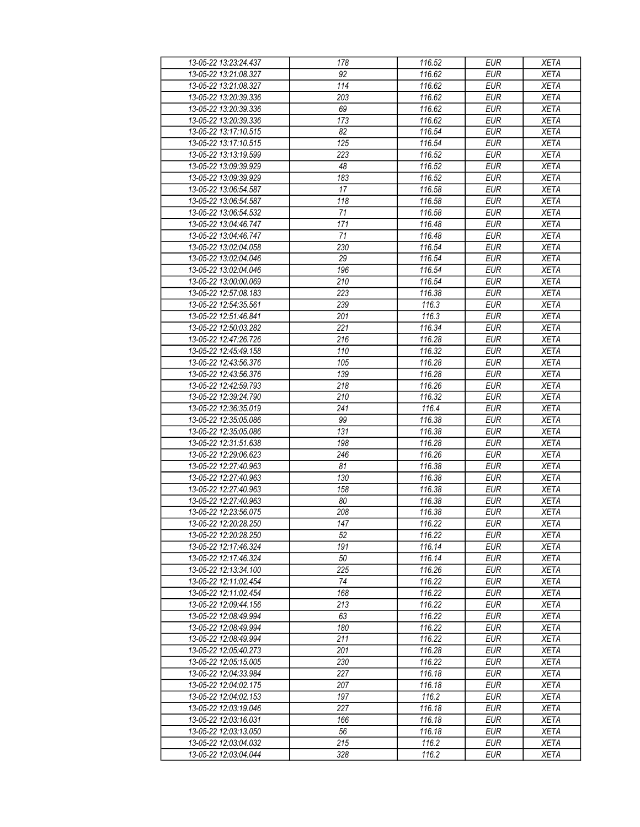| 13-05-22 13:23:24.437                          | 178        | 116.52 | <b>EUR</b> | <b>XETA</b> |
|------------------------------------------------|------------|--------|------------|-------------|
| 13-05-22 13:21:08.327                          | 92         | 116.62 | <b>EUR</b> | <b>XETA</b> |
| 13-05-22 13:21:08.327                          | 114        | 116.62 | <b>EUR</b> | <b>XETA</b> |
| 13-05-22 13:20:39.336                          | 203        | 116.62 | <b>EUR</b> | <b>XETA</b> |
| 13-05-22 13:20:39.336                          | 69         | 116.62 | <b>EUR</b> | <b>XETA</b> |
| 13-05-22 13:20:39.336                          | 173        | 116.62 | <b>EUR</b> | <b>XETA</b> |
| 13-05-22 13:17:10.515                          | 82         | 116.54 | <b>EUR</b> | <b>XETA</b> |
| 13-05-22 13:17:10.515                          | 125        | 116.54 | <b>EUR</b> | <b>XETA</b> |
| 13-05-22 13:13:19.599                          | 223        | 116.52 | <b>EUR</b> | <b>XETA</b> |
| 13-05-22 13:09:39.929                          | 48         | 116.52 | <b>EUR</b> | <b>XETA</b> |
| 13-05-22 13:09:39.929                          | 183        | 116.52 | <b>EUR</b> | <b>XETA</b> |
| 13-05-22 13:06:54.587                          | 17         | 116.58 | <b>EUR</b> | <b>XETA</b> |
| 13-05-22 13:06:54.587                          | 118        | 116.58 | <b>EUR</b> | <b>XETA</b> |
| 13-05-22 13:06:54.532                          | 71         | 116.58 | <b>EUR</b> | <b>XETA</b> |
| 13-05-22 13:04:46.747                          | 171        | 116.48 | <b>EUR</b> | <b>XETA</b> |
| 13-05-22 13:04:46.747                          | 71         | 116.48 | <b>EUR</b> | <b>XETA</b> |
| 13-05-22 13:02:04.058                          | 230        | 116.54 | EUR        | <b>XETA</b> |
| 13-05-22 13:02:04.046                          | 29         | 116.54 | <b>EUR</b> | <b>XETA</b> |
| 13-05-22 13:02:04.046                          | 196        | 116.54 | <b>EUR</b> | <b>XETA</b> |
| 13-05-22 13:00:00.069                          | 210        | 116.54 | <b>EUR</b> | <b>XETA</b> |
|                                                | 223        | 116.38 | <b>EUR</b> | <b>XETA</b> |
| 13-05-22 12:57:08.183<br>13-05-22 12:54:35.561 | 239        | 116.3  | <b>EUR</b> | <b>XETA</b> |
|                                                |            | 116.3  |            |             |
| 13-05-22 12:51:46.841                          | 201<br>221 |        | <b>EUR</b> | <b>XETA</b> |
| 13-05-22 12:50:03.282                          |            | 116.34 | <b>EUR</b> | <b>XETA</b> |
| 13-05-22 12:47:26.726                          | 216        | 116.28 | <b>EUR</b> | <b>XETA</b> |
| 13-05-22 12:45:49.158                          | 110        | 116.32 | <b>EUR</b> | <b>XETA</b> |
| 13-05-22 12:43:56.376                          | 105        | 116.28 | <b>EUR</b> | <b>XETA</b> |
| 13-05-22 12:43:56.376                          | 139        | 116.28 | <b>EUR</b> | <b>XETA</b> |
| 13-05-22 12:42:59.793                          | 218        | 116.26 | <b>EUR</b> | <b>XETA</b> |
| 13-05-22 12:39:24.790                          | 210        | 116.32 | <b>EUR</b> | <b>XETA</b> |
| 13-05-22 12:36:35.019                          | 241        | 116.4  | <b>EUR</b> | <b>XETA</b> |
| 13-05-22 12:35:05.086                          | 99         | 116.38 | <b>EUR</b> | <b>XETA</b> |
| 13-05-22 12:35:05.086                          | 131        | 116.38 | <b>EUR</b> | <b>XETA</b> |
| 13-05-22 12:31:51.638                          | 198        | 116.28 | <b>EUR</b> | <b>XETA</b> |
| 13-05-22 12:29:06.623                          | 246        | 116.26 | <b>EUR</b> | <b>XETA</b> |
| 13-05-22 12:27:40.963                          | 81         | 116.38 | <b>EUR</b> | <b>XETA</b> |
| 13-05-22 12:27:40.963                          | 130        | 116.38 | <b>EUR</b> | <b>XETA</b> |
| 13-05-22 12:27:40.963                          | 158        | 116.38 | <b>EUR</b> | <b>XETA</b> |
| 13-05-22 12:27:40.963                          | 80         | 116.38 | <b>EUR</b> | <b>XETA</b> |
| 13-05-22 12:23:56.075                          | 208        | 116.38 | <b>EUR</b> | <b>XETA</b> |
| 13-05-22 12:20:28.250                          | 147        | 116.22 | EUR        | <b>XETA</b> |
| 13-05-22 12:20:28.250                          | 52         | 116.22 | <b>EUR</b> | <b>XETA</b> |
| 13-05-22 12:17:46.324                          | 191        | 116.14 | <b>EUR</b> | <b>XETA</b> |
| 13-05-22 12:17:46.324                          | 50         | 116.14 | <b>EUR</b> | <b>XETA</b> |
| 13-05-22 12:13:34.100                          | 225        | 116.26 | <b>EUR</b> | <b>XETA</b> |
| 13-05-22 12:11:02.454                          | 74         | 116.22 | <b>EUR</b> | <b>XETA</b> |
| 13-05-22 12:11:02.454                          | 168        | 116.22 | <b>EUR</b> | <b>XETA</b> |
| 13-05-22 12:09:44.156                          | 213        | 116.22 | <b>EUR</b> | <b>XETA</b> |
| 13-05-22 12:08:49.994                          | 63         | 116.22 | <b>EUR</b> | <b>XETA</b> |
| 13-05-22 12:08:49.994                          | 180        | 116.22 | <b>EUR</b> | <b>XETA</b> |
| 13-05-22 12:08:49.994                          | 211        | 116.22 | <b>EUR</b> | <b>XETA</b> |
| 13-05-22 12:05:40.273                          | 201        | 116.28 | <b>EUR</b> | <b>XETA</b> |
| 13-05-22 12:05:15.005                          | 230        | 116.22 | <b>EUR</b> | <b>XETA</b> |
| 13-05-22 12:04:33.984                          | 227        | 116.18 | <b>EUR</b> | <b>XETA</b> |
| 13-05-22 12:04:02.175                          | 207        | 116.18 | <b>EUR</b> | <b>XETA</b> |
| 13-05-22 12:04:02.153                          | 197        | 116.2  | <b>EUR</b> | <b>XETA</b> |
| 13-05-22 12:03:19.046                          | 227        | 116.18 | <b>EUR</b> | <b>XETA</b> |
| 13-05-22 12:03:16.031                          | 166        | 116.18 | <b>EUR</b> | <b>XETA</b> |
| 13-05-22 12:03:13.050                          | 56         | 116.18 | <b>EUR</b> | <b>XETA</b> |
| 13-05-22 12:03:04.032                          | 215        | 116.2  | <b>EUR</b> | <b>XETA</b> |
| 13-05-22 12:03:04.044                          | 328        | 116.2  | <b>EUR</b> | <b>XETA</b> |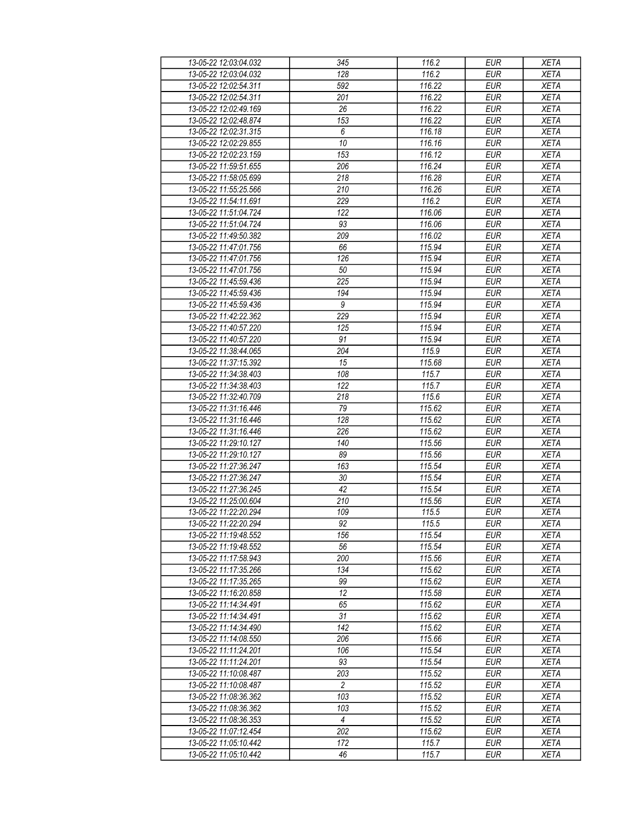| 13-05-22 12:03:04.032 | 345              | 116.2  | <b>EUR</b>       | <b>XETA</b> |
|-----------------------|------------------|--------|------------------|-------------|
| 13-05-22 12:03:04.032 | 128              | 116.2  | <b>EUR</b>       | <b>XETA</b> |
| 13-05-22 12:02:54.311 | 592              | 116.22 | <b>EUR</b>       | <b>XETA</b> |
| 13-05-22 12:02:54.311 | 201              | 116.22 | <b>EUR</b>       | <b>XETA</b> |
| 13-05-22 12:02:49.169 | 26               | 116.22 | <b>EUR</b>       | <b>XETA</b> |
| 13-05-22 12:02:48.874 | 153              | 116.22 | <b>EUR</b>       | <b>XETA</b> |
| 13-05-22 12:02:31.315 | 6                | 116.18 | <b>EUR</b>       | <b>XETA</b> |
| 13-05-22 12:02:29.855 | $\overline{10}$  | 116.16 | <b>EUR</b>       | <b>XETA</b> |
| 13-05-22 12:02:23.159 | 153              | 116.12 | <b>EUR</b>       | <b>XETA</b> |
| 13-05-22 11:59:51.655 | 206              | 116.24 | <b>EUR</b>       | <b>XETA</b> |
| 13-05-22 11:58:05.699 | 218              | 116.28 | <b>EUR</b>       | <b>XETA</b> |
| 13-05-22 11:55:25.566 | 210              | 116.26 | <b>EUR</b>       | <b>XETA</b> |
| 13-05-22 11:54:11.691 | 229              | 116.2  | <b>EUR</b>       | <b>XETA</b> |
| 13-05-22 11:51:04.724 | 122              | 116.06 | <b>EUR</b>       | <b>XETA</b> |
| 13-05-22 11:51:04.724 | 93               | 116.06 | EUR              | <b>XETA</b> |
| 13-05-22 11:49:50.382 | 209              | 116.02 | <b>EUR</b>       | <b>XETA</b> |
| 13-05-22 11:47:01.756 | 66               | 115.94 | EUR              | <b>XETA</b> |
| 13-05-22 11:47:01.756 | 126              | 115.94 | <b>EUR</b>       | <b>XETA</b> |
| 13-05-22 11:47:01.756 | 50               | 115.94 | <b>EUR</b>       | <b>XETA</b> |
| 13-05-22 11:45:59.436 | 225              | 115.94 | <b>EUR</b>       | <b>XETA</b> |
| 13-05-22 11:45:59.436 | 194              | 115.94 | <b>EUR</b>       | <b>XETA</b> |
| 13-05-22 11:45:59.436 | $\boldsymbol{9}$ | 115.94 | <b>EUR</b>       | <b>XETA</b> |
| 13-05-22 11:42:22.362 | 229              | 115.94 | <b>EUR</b>       | <b>XETA</b> |
| 13-05-22 11:40:57.220 | 125              | 115.94 | <b>EUR</b>       | XETA        |
| 13-05-22 11:40:57.220 | 91               | 115.94 | <b>EUR</b>       | <b>XETA</b> |
| 13-05-22 11:38:44.065 | 204              | 115.9  | EUR              | <b>XETA</b> |
| 13-05-22 11:37:15.392 | 15               | 115.68 | <b>EUR</b>       | <b>XETA</b> |
| 13-05-22 11:34:38.403 | 108              | 115.7  | <b>EUR</b>       | <b>XETA</b> |
| 13-05-22 11:34:38.403 | 122              | 115.7  | $E\overline{UR}$ | <b>XETA</b> |
| 13-05-22 11:32:40.709 | 218              | 115.6  | <b>EUR</b>       | <b>XETA</b> |
| 13-05-22 11:31:16.446 | 79               | 115.62 | <b>EUR</b>       | <b>XETA</b> |
| 13-05-22 11:31:16.446 | 128              | 115.62 | <b>EUR</b>       | <b>XETA</b> |
| 13-05-22 11:31:16.446 | 226              | 115.62 | <b>EUR</b>       | <b>XETA</b> |
| 13-05-22 11:29:10.127 | 140              | 115.56 | <b>EUR</b>       | <b>XETA</b> |
| 13-05-22 11:29:10.127 | 89               | 115.56 | <b>EUR</b>       | <b>XETA</b> |
| 13-05-22 11:27:36.247 | 163              | 115.54 | <b>EUR</b>       | <b>XETA</b> |
| 13-05-22 11:27:36.247 | 30               | 115.54 | <b>EUR</b>       | <b>XETA</b> |
| 13-05-22 11:27:36.245 | 42               | 115.54 | <b>EUR</b>       | <b>XETA</b> |
| 13-05-22 11:25:00.604 | 210              | 115.56 | <b>EUR</b>       | <b>XETA</b> |
| 13-05-22 11:22:20.294 | 109              | 115.5  | <b>EUR</b>       | <b>XETA</b> |
| 13-05-22 11:22:20.294 | 92               | 115.5  | <b>EUR</b>       | <b>XETA</b> |
| 13-05-22 11:19:48.552 | 156              | 115.54 | <b>EUR</b>       | <b>XETA</b> |
| 13-05-22 11:19:48.552 | 56               | 115.54 | <b>EUR</b>       | <b>XETA</b> |
| 13-05-22 11:17:58.943 | 200              | 115.56 | <b>EUR</b>       | <b>XETA</b> |
| 13-05-22 11:17:35.266 | 134              | 115.62 | <b>EUR</b>       | <b>XETA</b> |
| 13-05-22 11:17:35.265 | 99               | 115.62 | <b>EUR</b>       | <b>XETA</b> |
| 13-05-22 11:16:20.858 | 12               | 115.58 | <b>EUR</b>       | <b>XETA</b> |
| 13-05-22 11:14:34.491 | 65               | 115.62 | <b>EUR</b>       | <b>XETA</b> |
| 13-05-22 11:14:34.491 | 31               | 115.62 | <b>EUR</b>       | <b>XETA</b> |
| 13-05-22 11:14:34.490 | 142              | 115.62 | <b>EUR</b>       | <b>XETA</b> |
| 13-05-22 11:14:08.550 | 206              | 115.66 | <b>EUR</b>       | <b>XETA</b> |
| 13-05-22 11:11:24.201 | 106              | 115.54 | <b>EUR</b>       | <b>XETA</b> |
| 13-05-22 11:11:24.201 | 93               | 115.54 | <b>EUR</b>       | <b>XETA</b> |
| 13-05-22 11:10:08.487 | 203              | 115.52 | <b>EUR</b>       | <b>XETA</b> |
| 13-05-22 11:10:08.487 | 2                | 115.52 | <b>EUR</b>       | <b>XETA</b> |
| 13-05-22 11:08:36.362 | 103              | 115.52 | <b>EUR</b>       | <b>XETA</b> |
| 13-05-22 11:08:36.362 | 103              | 115.52 | <b>EUR</b>       | <b>XETA</b> |
| 13-05-22 11:08:36.353 | $\overline{4}$   | 115.52 | <b>EUR</b>       | <b>XETA</b> |
| 13-05-22 11:07:12.454 | 202              | 115.62 | <b>EUR</b>       | <b>XETA</b> |
| 13-05-22 11:05:10.442 | $\overline{172}$ | 115.7  | <b>EUR</b>       | <b>XETA</b> |
| 13-05-22 11:05:10.442 | 46               | 115.7  | <b>EUR</b>       | <b>XETA</b> |
|                       |                  |        |                  |             |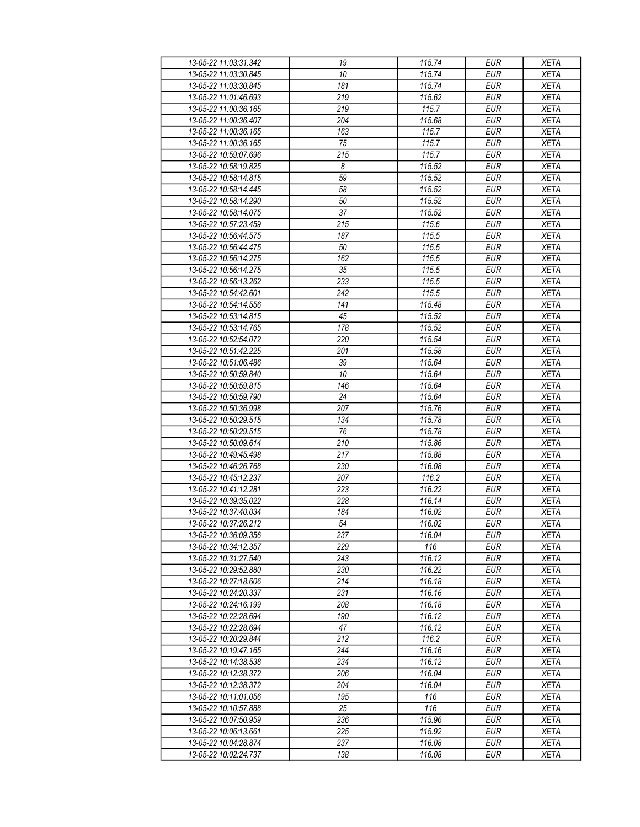| 13-05-22 11:03:31.342 | 19               | 115.74         | <b>EUR</b>        | <b>XETA</b> |
|-----------------------|------------------|----------------|-------------------|-------------|
| 13-05-22 11:03:30.845 | 10               | 115.74         | <b>EUR</b>        | <b>XETA</b> |
| 13-05-22 11:03:30.845 | 181              | 115.74         | <b>EUR</b>        | <b>XETA</b> |
| 13-05-22 11:01:46.693 | 219              | 115.62         | <b>EUR</b>        | <b>XETA</b> |
| 13-05-22 11:00:36.165 | 219              | 115.7          | <b>EUR</b>        | <b>XETA</b> |
| 13-05-22 11:00:36.407 | 204              | 115.68         | <b>EUR</b>        | <b>XETA</b> |
| 13-05-22 11:00:36.165 | 163              | 115.7          | <b>EUR</b>        | <b>XETA</b> |
| 13-05-22 11:00:36.165 | 75               | 115.7          | <b>EUR</b>        | <b>XETA</b> |
| 13-05-22 10:59:07.696 | 215              | 115.7          | <b>EUR</b>        | <b>XETA</b> |
| 13-05-22 10:58:19.825 | 8                | 115.52         | <b>EUR</b>        | <b>XETA</b> |
| 13-05-22 10:58:14.815 | 59               | 115.52         | <b>EUR</b>        | <b>XETA</b> |
| 13-05-22 10:58:14.445 | 58               | 115.52         | <b>EUR</b>        | <b>XETA</b> |
| 13-05-22 10:58:14.290 | 50               | 115.52         | <b>EUR</b>        | <b>XETA</b> |
| 13-05-22 10:58:14.075 | 37               | 115.52         | <b>EUR</b>        | <b>XETA</b> |
| 13-05-22 10:57:23.459 | $\overline{215}$ | 115.6          | EUR               | <b>XETA</b> |
|                       |                  |                |                   |             |
| 13-05-22 10:56:44.575 | 187              | 115.5<br>115.5 | <b>EUR</b><br>EUR | <b>XETA</b> |
| 13-05-22 10:56:44.475 | 50               |                |                   | <b>XETA</b> |
| 13-05-22 10:56:14.275 | 162              | 115.5          | <b>EUR</b>        | <b>XETA</b> |
| 13-05-22 10:56:14.275 | 35               | 115.5          | <b>EUR</b>        | <b>XETA</b> |
| 13-05-22 10:56:13.262 | 233              | 115.5          | <b>EUR</b>        | <b>XETA</b> |
| 13-05-22 10:54:42.601 | 242              | 115.5          | <b>EUR</b>        | <b>XETA</b> |
| 13-05-22 10:54:14.556 | 141              | 115.48         | <b>EUR</b>        | <b>XETA</b> |
| 13-05-22 10:53:14.815 | 45               | 115.52         | <b>EUR</b>        | <b>XETA</b> |
| 13-05-22 10:53:14.765 | 178              | 115.52         | <b>EUR</b>        | XETA        |
| 13-05-22 10:52:54.072 | 220              | 115.54         | <b>EUR</b>        | <b>XETA</b> |
| 13-05-22 10:51:42.225 | 201              | 115.58         | EUR               | <b>XETA</b> |
| 13-05-22 10:51:06.486 | 39               | 115.64         | <b>EUR</b>        | <b>XETA</b> |
| 13-05-22 10:50:59.840 | 10               | 115.64         | <b>EUR</b>        | <b>XETA</b> |
| 13-05-22 10:50:59.815 | 146              | 115.64         | <b>EUR</b>        | <b>XETA</b> |
| 13-05-22 10:50:59.790 | 24               | 115.64         | <b>EUR</b>        | <b>XETA</b> |
| 13-05-22 10:50:36.998 | 207              | 115.76         | <b>EUR</b>        | <b>XETA</b> |
| 13-05-22 10:50:29.515 | 134              | 115.78         | <b>EUR</b>        | <b>XETA</b> |
| 13-05-22 10:50:29.515 | 76               | 115.78         | <b>EUR</b>        | <b>XETA</b> |
| 13-05-22 10:50:09.614 | 210              | 115.86         | <b>EUR</b>        | <b>XETA</b> |
| 13-05-22 10:49:45.498 | 217              | 115.88         | <b>EUR</b>        | <b>XETA</b> |
| 13-05-22 10:46:26.768 | 230              | 116.08         | <b>EUR</b>        | <b>XETA</b> |
| 13-05-22 10:45:12.237 | 207              | 116.2          | <b>EUR</b>        | <b>XETA</b> |
| 13-05-22 10:41:12.281 | 223              | 116.22         | <b>EUR</b>        | <b>XETA</b> |
| 13-05-22 10:39:35.022 | 228              | 116.14         | <b>EUR</b>        | <b>XETA</b> |
| 13-05-22 10:37:40.034 | 184              | 116.02         | <b>EUR</b>        | <b>XETA</b> |
| 13-05-22 10:37:26.212 | 54               | 116.02         | <b>EUR</b>        | <b>XETA</b> |
| 13-05-22 10:36:09.356 | 237              | 116.04         | <b>EUR</b>        | <b>XETA</b> |
| 13-05-22 10:34:12.357 | 229              | 116            | <b>EUR</b>        | <b>XETA</b> |
| 13-05-22 10:31:27.540 | 243              | 116.12         | <b>EUR</b>        | <b>XETA</b> |
| 13-05-22 10:29:52.880 | 230              | 116.22         | <b>EUR</b>        | <b>XETA</b> |
| 13-05-22 10:27:18.606 | 214              | 116.18         | <b>EUR</b>        | <b>XETA</b> |
| 13-05-22 10:24:20.337 | 231              | 116.16         | <b>EUR</b>        | <b>XETA</b> |
| 13-05-22 10:24:16.199 | 208              | 116.18         | <b>EUR</b>        | <b>XETA</b> |
| 13-05-22 10:22:28.694 | 190              | 116.12         | <b>EUR</b>        | <b>XETA</b> |
| 13-05-22 10:22:28.694 | 47               | 116.12         | <b>EUR</b>        | <b>XETA</b> |
| 13-05-22 10:20:29.844 | 212              | 116.2          | <b>EUR</b>        | <b>XETA</b> |
| 13-05-22 10:19:47.165 | 244              | 116.16         | <b>EUR</b>        | <b>XETA</b> |
| 13-05-22 10:14:38.538 | 234              | 116.12         | <b>EUR</b>        | <b>XETA</b> |
| 13-05-22 10:12:38.372 | 206              | 116.04         | <b>EUR</b>        | <b>XETA</b> |
| 13-05-22 10:12:38.372 | 204              | 116.04         | <b>EUR</b>        | <b>XETA</b> |
| 13-05-22 10:11:01.056 | 195              | 116            | <b>EUR</b>        | <b>XETA</b> |
| 13-05-22 10:10:57.888 | 25               | 116            | <b>EUR</b>        | <b>XETA</b> |
| 13-05-22 10:07:50.959 | 236              | 115.96         | <b>EUR</b>        | <b>XETA</b> |
| 13-05-22 10:06:13.661 | 225              | 115.92         | <b>EUR</b>        | <b>XETA</b> |
| 13-05-22 10:04:28.874 | 237              | 116.08         | <b>EUR</b>        | <b>XETA</b> |
| 13-05-22 10:02:24.737 | 138              | 116.08         | <b>EUR</b>        | <b>XETA</b> |
|                       |                  |                |                   |             |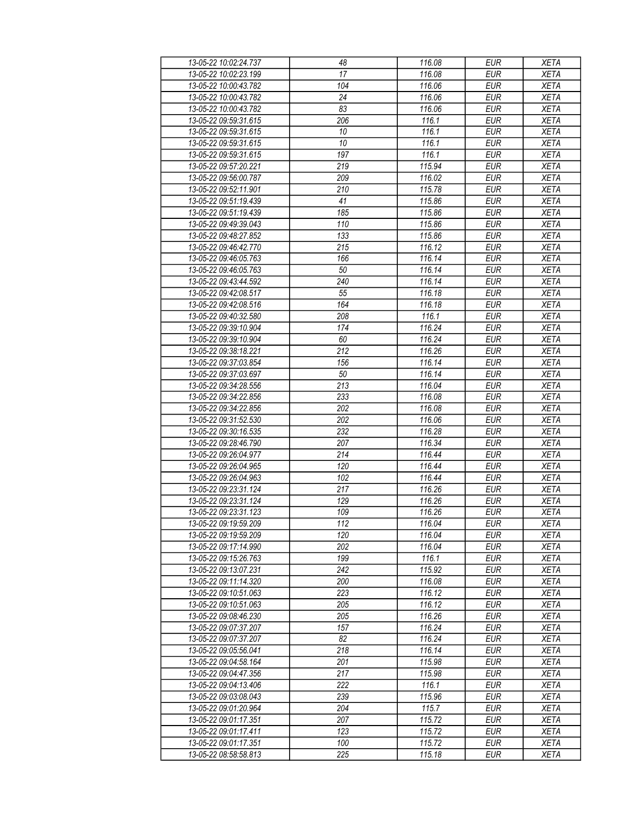| 13-05-22 10:02:24.737 | 48               | 116.08 | <b>EUR</b>       | <b>XETA</b> |
|-----------------------|------------------|--------|------------------|-------------|
| 13-05-22 10:02:23 199 | 17               | 116.08 | <b>EUR</b>       | <b>XETA</b> |
| 13-05-22 10:00:43.782 | 104              | 116.06 | <b>EUR</b>       | <b>XETA</b> |
| 13-05-22 10:00:43.782 | 24               | 116.06 | <b>EUR</b>       | <b>XETA</b> |
| 13-05-22 10:00:43.782 | 83               | 116.06 | <b>EUR</b>       | <b>XETA</b> |
| 13-05-22 09:59:31.615 | 206              | 116.1  | <b>EUR</b>       | <b>XETA</b> |
| 13-05-22 09:59:31.615 | 10               | 116.1  | <b>EUR</b>       | <b>XETA</b> |
| 13-05-22 09:59:31.615 | 10               | 116.1  | <b>EUR</b>       | <b>XETA</b> |
| 13-05-22 09:59:31.615 | 197              | 116.1  | <b>EUR</b>       | <b>XETA</b> |
| 13-05-22 09:57:20.221 | 219              | 115.94 | <b>EUR</b>       | <b>XETA</b> |
| 13-05-22 09:56:00.787 | 209              | 116.02 | <b>EUR</b>       | <b>XETA</b> |
| 13-05-22 09:52:11.901 | 210              | 115.78 | <b>EUR</b>       | <b>XETA</b> |
| 13-05-22 09:51:19.439 | 41               | 115.86 | <b>EUR</b>       | <b>XETA</b> |
| 13-05-22 09:51:19.439 | 185              | 115.86 | <b>EUR</b>       | <b>XETA</b> |
| 13-05-22 09:49:39.043 | 110              | 115.86 | EUR              | <b>XETA</b> |
| 13-05-22 09:48:27.852 | 133              | 115.86 | <b>EUR</b>       | <b>XETA</b> |
| 13-05-22 09:46:42.770 | $\overline{215}$ | 116.12 | EUR              | <b>XETA</b> |
| 13-05-22 09:46:05.763 | 166              | 116.14 | <b>EUR</b>       | <b>XETA</b> |
| 13-05-22 09:46:05.763 | 50               | 116.14 | <b>EUR</b>       | <b>XETA</b> |
| 13-05-22 09:43:44.592 | 240              | 116.14 | <b>EUR</b>       | <b>XETA</b> |
| 13-05-22 09:42:08.517 | 55               | 116.18 | <b>EUR</b>       | <b>XETA</b> |
| 13-05-22 09:42:08.516 | 164              | 116.18 | <b>EUR</b>       | <b>XETA</b> |
| 13-05-22 09:40:32.580 | 208              | 116.1  | <b>EUR</b>       | <b>XETA</b> |
| 13-05-22 09:39:10.904 | 174              | 116.24 | <b>EUR</b>       | <b>XETA</b> |
| 13-05-22 09:39:10.904 | 60               | 116.24 | <b>EUR</b>       | <b>XETA</b> |
| 13-05-22 09:38:18.221 | $\overline{212}$ | 116.26 | EUR              | <b>XETA</b> |
| 13-05-22 09:37:03.854 | 156              | 116.14 | <b>EUR</b>       | <b>XETA</b> |
| 13-05-22 09:37:03.697 | 50               | 116.14 | <b>EUR</b>       | <b>XETA</b> |
| 13-05-22 09:34:28.556 | 213              | 116.04 | $E\overline{UR}$ | <b>XETA</b> |
| 13-05-22 09:34:22.856 | 233              | 116.08 | <b>EUR</b>       | <b>XETA</b> |
| 13-05-22 09:34:22.856 | 202              | 116.08 | <b>EUR</b>       | <b>XETA</b> |
| 13-05-22 09:31:52.530 | 202              | 116.06 | <b>EUR</b>       | <b>XETA</b> |
| 13-05-22 09:30:16.535 | 232              | 116.28 | <b>EUR</b>       | <b>XETA</b> |
| 13-05-22 09:28:46.790 | 207              | 116.34 | <b>EUR</b>       | <b>XETA</b> |
| 13-05-22 09:26:04.977 | 214              | 116.44 | <b>EUR</b>       | <b>XETA</b> |
| 13-05-22 09:26:04.965 | 120              | 116.44 | <b>EUR</b>       | <b>XETA</b> |
| 13-05-22 09:26:04.963 | 102              | 116.44 | <b>EUR</b>       | <b>XETA</b> |
| 13-05-22 09:23:31.124 | 217              | 116.26 | <b>EUR</b>       | <b>XETA</b> |
| 13-05-22 09:23:31.124 | 129              | 116.26 | <b>EUR</b>       | <b>XETA</b> |
| 13-05-22 09:23:31.123 | 109              | 116.26 | <b>EUR</b>       | <b>XETA</b> |
| 13-05-22 09:19:59.209 | 112              | 116.04 | <b>EUR</b>       | <b>XETA</b> |
| 13-05-22 09:19:59.209 | 120              | 116.04 | <b>EUR</b>       | <b>XETA</b> |
| 13-05-22 09:17:14.990 | 202              | 116.04 | <b>EUR</b>       | <b>XETA</b> |
| 13-05-22 09:15:26.763 | 199              | 116.1  | <b>EUR</b>       | <b>XETA</b> |
| 13-05-22 09:13:07.231 | 242              | 115.92 | <b>EUR</b>       | <b>XETA</b> |
| 13-05-22 09:11:14.320 | 200              | 116.08 | <b>EUR</b>       | <b>XETA</b> |
| 13-05-22 09:10:51.063 | 223              | 116.12 | <b>EUR</b>       | <b>XETA</b> |
| 13-05-22 09:10:51.063 | 205              | 116.12 | <b>EUR</b>       | <b>XETA</b> |
| 13-05-22 09:08:46.230 | 205              | 116.26 | <b>EUR</b>       | <b>XETA</b> |
| 13-05-22 09:07:37.207 | 157              | 116.24 | <b>EUR</b>       | <b>XETA</b> |
| 13-05-22 09:07:37.207 | 82               | 116.24 | <b>EUR</b>       | <b>XETA</b> |
| 13-05-22 09:05:56.041 | 218              | 116.14 | <b>EUR</b>       | <b>XETA</b> |
| 13-05-22 09:04:58.164 | 201              | 115.98 | <b>EUR</b>       | <b>XETA</b> |
| 13-05-22 09:04:47.356 | 217              | 115.98 | <b>EUR</b>       | <b>XETA</b> |
| 13-05-22 09:04:13.406 | 222              | 116.1  | <b>EUR</b>       | <b>XETA</b> |
| 13-05-22 09:03:08.043 | 239              | 115.96 | <b>EUR</b>       | <b>XETA</b> |
| 13-05-22 09:01:20.964 | 204              | 115.7  | <b>EUR</b>       | <b>XETA</b> |
| 13-05-22 09:01:17.351 | 207              | 115.72 | <b>EUR</b>       | <b>XETA</b> |
| 13-05-22 09:01:17.411 | 123              | 115.72 | <b>EUR</b>       | <b>XETA</b> |
| 13-05-22 09:01:17.351 | 100              | 115.72 | <b>EUR</b>       | <b>XETA</b> |
| 13-05-22 08:58:58.813 | 225              | 115.18 | <b>EUR</b>       | <b>XETA</b> |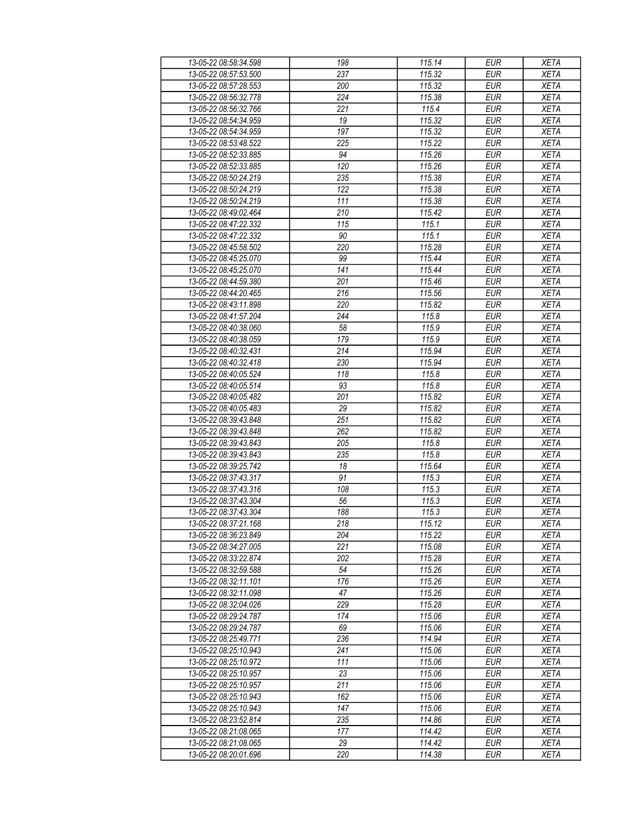| 13-05-22 08:58:34.598                          | 198              | 115.14           | <b>EUR</b>               | <b>XETA</b>                |
|------------------------------------------------|------------------|------------------|--------------------------|----------------------------|
| 13-05-22 08:57:53.500                          | 237              | 115.32           | <b>EUR</b>               | <b>XETA</b>                |
| 13-05-22 08:57:28.553                          | 200              | 115.32           | <b>EUR</b>               | <b>XETA</b>                |
| 13-05-22 08:56:32.778                          | 224              | 115.38           | <b>EUR</b>               | <b>XETA</b>                |
| 13-05-22 08:56:32.766                          | 221              | 115.4            | <b>EUR</b>               | <b>XETA</b>                |
| 13-05-22 08:54:34.959                          | 19               | 115.32           | <b>EUR</b>               | <b>XETA</b>                |
| 13-05-22 08:54:34.959                          | 197              | 115.32           | <b>EUR</b>               | <b>XETA</b>                |
| 13-05-22 08:53:48.522                          | 225              | 115.22           | <b>EUR</b>               | <b>XETA</b>                |
| 13-05-22 08:52:33.885                          | 94               | 115.26           | <b>EUR</b>               | <b>XETA</b>                |
| 13-05-22 08:52:33.885                          | 120              | 115.26           | <b>EUR</b>               | <b>XETA</b>                |
| 13-05-22 08:50:24.219                          | 235              | 115.38           | <b>EUR</b>               | <b>XETA</b>                |
| 13-05-22 08:50:24.219                          | 122              | 115.38           | <b>EUR</b>               | <b>XETA</b>                |
| 13-05-22 08:50:24.219                          | 111              | 115.38           | <b>EUR</b>               | <b>XETA</b>                |
| 13-05-22 08:49:02.464                          | 210              | 115.42           | <b>EUR</b>               | <b>XETA</b>                |
| 13-05-22 08:47:22.332                          | $\overline{115}$ | 115.1            | <b>EUR</b>               | <b>XETA</b>                |
| 13-05-22 08:47:22.332                          | 90               | 115.1            | <b>EUR</b>               | <b>XETA</b>                |
| 13-05-22 08:45:58.502                          | 220              | 115.28           | <b>EUR</b>               | <b>XETA</b>                |
| 13-05-22 08:45:25.070                          | 99               | 115.44           | <b>EUR</b>               | <b>XETA</b>                |
| 13-05-22 08:45:25.070                          | 141              | 115.44           | <b>EUR</b>               | <b>XETA</b>                |
| 13-05-22 08:44:59.380                          | 201              | 115.46           | <b>EUR</b>               | <b>XETA</b>                |
| 13-05-22 08:44:20.465                          | 216              | 115.56           | <b>EUR</b>               | <b>XETA</b>                |
| 13-05-22 08:43:11.898                          | 220              | 115.82           | <b>EUR</b>               | <b>XETA</b>                |
| 13-05-22 08:41:57.204                          | 244              | 115.8            | <b>EUR</b>               | <b>XETA</b>                |
| 13-05-22 08:40:38.060                          | 58               | 115.9            | <b>EUR</b>               | <b>XETA</b>                |
| 13-05-22 08:40:38.059                          | 179              | 115.9            | <b>EUR</b>               | <b>XETA</b>                |
| 13-05-22 08:40:32.431                          | 214              | 115.94           | <b>EUR</b>               | <b>XETA</b>                |
| 13-05-22 08:40:32.418                          | 230              | 115.94           | <b>EUR</b>               | <b>XETA</b>                |
| 13-05-22 08:40:05.524                          | 118              | 115.8            | <b>EUR</b>               | <b>XETA</b>                |
| 13-05-22 08:40:05.514                          | 93               | 115.8            | <b>EUR</b>               | <b>XETA</b>                |
| 13-05-22 08:40:05.482                          | 201              | 115.82           | <b>EUR</b>               | <b>XETA</b>                |
|                                                |                  |                  |                          |                            |
| 13-05-22 08:40:05.483<br>13-05-22 08:39:43.848 | 29<br>251        | 115.82<br>115.82 | <b>EUR</b><br><b>EUR</b> | <b>XETA</b><br><b>XETA</b> |
| 13-05-22 08:39:43.848                          | 262              | 115.82           | <b>EUR</b>               | <b>XETA</b>                |
| 13-05-22 08:39:43.843                          | 205              | 115.8            | <b>EUR</b>               | <b>XETA</b>                |
| 13-05-22 08:39:43.843                          | 235              | 115.8            | <b>EUR</b>               | <b>XETA</b>                |
| 13-05-22 08:39:25.742                          |                  |                  |                          |                            |
|                                                | 18<br>91         | 115.64           | <b>EUR</b>               | <b>XETA</b>                |
| 13-05-22 08:37:43.317                          |                  | 115.3            | <b>EUR</b>               | <b>XETA</b>                |
| 13-05-22 08:37:43.316                          | 108              | 115.3            | <b>EUR</b>               | <b>XETA</b>                |
| 13-05-22 08:37:43.304                          | 56<br>188        | 115.3<br>115.3   | <b>EUR</b>               | <b>XETA</b>                |
| 13-05-22 08:37:43.304                          |                  |                  | <b>EUR</b>               | <b>XETA</b>                |
| 13-05-22 08:37:21.168                          | $\overline{218}$ | 115.12           | <b>EUR</b>               | <b>XETA</b>                |
| 13-05-22 08:36:23.849                          | 204              | 115.22           | <b>EUR</b>               | <b>XETA</b>                |
| 13-05-22 08:34:27.005                          | 221              | 115.08           | <b>EUR</b>               | <b>XETA</b>                |
| 13-05-22 08:33:22.874                          | 202              | 115.28           | <b>EUR</b>               | <b>XETA</b>                |
| 13-05-22 08:32:59.588<br>13-05-22 08:32:11.101 | 54               | 115.26           | <b>EUR</b>               | <b>XETA</b>                |
|                                                | 176              | 115.26           | <b>EUR</b>               | <b>XETA</b>                |
| 13-05-22 08:32:11.098                          | 47               | 115.26           | <b>EUR</b>               | <b>XETA</b>                |
| 13-05-22 08:32:04.026                          | 229              | 115.28           | <b>EUR</b>               | <b>XETA</b>                |
| 13-05-22 08:29:24.787                          | 174              | 115.06           | <b>EUR</b>               | <b>XETA</b>                |
| 13-05-22 08:29:24.787                          | 69               | 115.06           | <b>EUR</b>               | <b>XETA</b>                |
| 13-05-22 08:25:49.771                          | 236              | 114.94           | <b>EUR</b>               | <b>XETA</b>                |
| 13-05-22 08:25:10.943                          | 241              | 115.06           | <b>EUR</b>               | <b>XETA</b>                |
| 13-05-22 08:25:10.972                          | 111              | 115.06           | <b>EUR</b>               | <b>XETA</b>                |
| 13-05-22 08:25:10.957                          | 23               | 115.06           | <b>EUR</b>               | <b>XETA</b>                |
| 13-05-22 08:25:10.957                          | 211              | 115.06           | <b>EUR</b>               | <b>XETA</b>                |
| 13-05-22 08:25:10.943                          | 162              | 115.06           | <b>EUR</b>               | XETA                       |
| 13-05-22 08:25:10.943                          | 147              | 115.06           | <b>EUR</b>               | <b>XETA</b>                |
| 13-05-22 08:23:52.814                          | 235              | 114.86           | <b>EUR</b>               | <b>XETA</b>                |
| 13-05-22 08:21:08.065                          | 177              | 114.42           | <b>EUR</b>               | <b>XETA</b>                |
| 13-05-22 08:21:08.065                          | 29               | 114.42           | <b>EUR</b>               | <b>XETA</b>                |
| 13-05-22 08:20:01.696                          | 220              | 114.38           | <b>EUR</b>               | <b>XETA</b>                |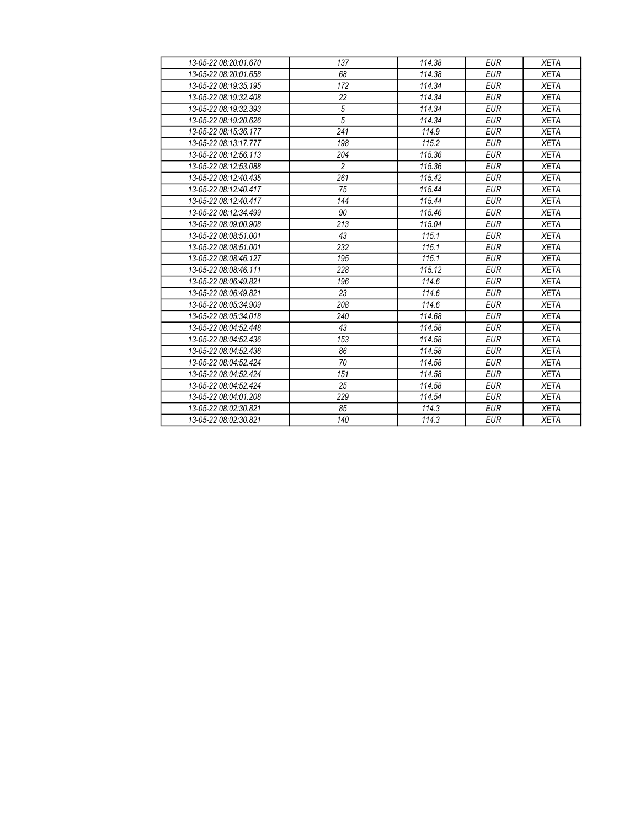| 13-05-22 08:20:01.670 | 137            | 114.38 | <b>EUR</b> | <b>XETA</b> |
|-----------------------|----------------|--------|------------|-------------|
| 13-05-22 08:20:01.658 | 68             | 114.38 | <b>EUR</b> | <b>XETA</b> |
| 13-05-22 08:19:35 195 | 172            | 114.34 | <b>EUR</b> | <b>XETA</b> |
| 13-05-22 08:19:32.408 | 22             | 114.34 | <b>EUR</b> | <b>XETA</b> |
| 13-05-22 08:19:32.393 | $\sqrt{5}$     | 114.34 | <b>EUR</b> | <b>XETA</b> |
| 13-05-22 08:19:20.626 | $\overline{5}$ | 114.34 | <b>EUR</b> | <b>XETA</b> |
| 13-05-22 08:15:36.177 | 241            | 114.9  | <b>EUR</b> | <b>XETA</b> |
| 13-05-22 08:13:17.777 | 198            | 115.2  | <b>EUR</b> | <b>XETA</b> |
| 13-05-22 08:12:56.113 | 204            | 115.36 | <b>EUR</b> | <b>XETA</b> |
| 13-05-22 08:12:53.088 | $\overline{c}$ | 115.36 | <b>EUR</b> | <b>XETA</b> |
| 13-05-22 08:12:40.435 | 261            | 115.42 | <b>EUR</b> | <b>XETA</b> |
| 13-05-22 08:12:40.417 | 75             | 115.44 | <b>EUR</b> | <b>XETA</b> |
| 13-05-22 08:12:40.417 | 144            | 115.44 | <b>EUR</b> | <b>XETA</b> |
| 13-05-22 08:12:34.499 | 90             | 115.46 | <b>EUR</b> | <b>XETA</b> |
| 13-05-22 08:09:00.908 | 213            | 115.04 | <b>EUR</b> | <b>XETA</b> |
| 13-05-22 08:08:51.001 | 43             | 115.1  | <b>EUR</b> | <b>XETA</b> |
| 13-05-22 08:08:51.001 | 232            | 115.1  | <b>EUR</b> | <b>XETA</b> |
| 13-05-22 08:08:46.127 | 195            | 115.1  | <b>EUR</b> | <b>XETA</b> |
| 13-05-22 08:08:46.111 | 228            | 115.12 | <b>EUR</b> | <b>XETA</b> |
| 13-05-22 08:06:49.821 | 196            | 114.6  | <b>EUR</b> | <b>XETA</b> |
| 13-05-22 08:06:49.821 | 23             | 114.6  | <b>EUR</b> | <b>XETA</b> |
| 13-05-22 08:05:34 909 | 208            | 114.6  | <b>EUR</b> | <b>XETA</b> |
| 13-05-22 08:05:34.018 | 240            | 114.68 | <b>EUR</b> | <b>XETA</b> |
| 13-05-22 08:04:52.448 | 43             | 114.58 | <b>EUR</b> | <b>XETA</b> |
| 13-05-22 08:04:52.436 | 153            | 114.58 | <b>EUR</b> | <b>XETA</b> |
| 13-05-22 08:04:52.436 | 86             | 114.58 | <b>EUR</b> | <b>XETA</b> |
| 13-05-22 08:04:52.424 | 70             | 114.58 | <b>EUR</b> | <b>XETA</b> |
| 13-05-22 08:04:52.424 | 151            | 114.58 | <b>EUR</b> | <b>XETA</b> |
| 13-05-22 08:04:52.424 | 25             | 114.58 | <b>EUR</b> | <b>XETA</b> |
| 13-05-22 08:04:01.208 | 229            | 114.54 | <b>EUR</b> | <b>XETA</b> |
| 13-05-22 08:02:30.821 | 85             | 114.3  | <b>EUR</b> | <b>XETA</b> |
| 13-05-22 08:02:30.821 | 140            | 114.3  | <b>EUR</b> | <b>XETA</b> |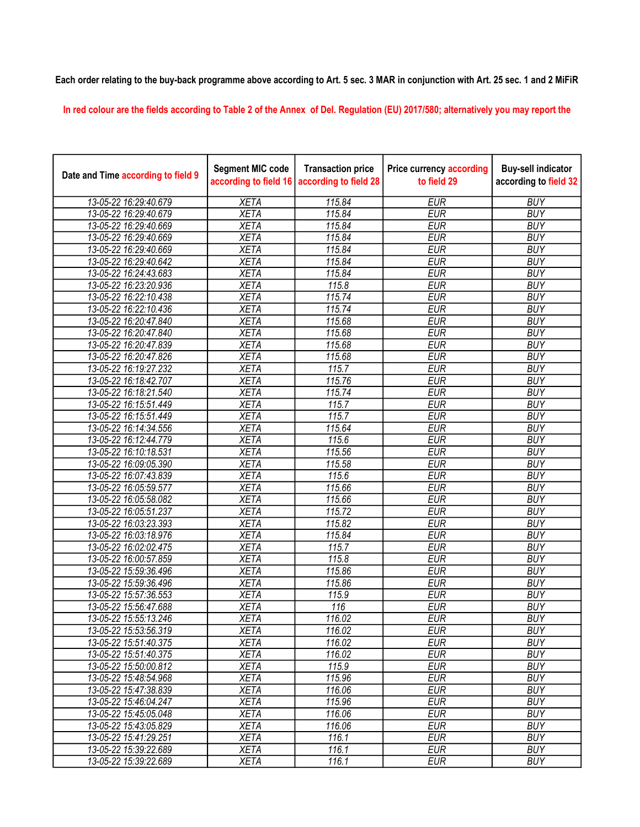## Each order relating to the buy-back programme above according to Art. 5 sec. 3 MAR in conjunction with Art. 25 sec. 1 and 2 MiFiR

In red colour are the fields according to Table 2 of the Annex of Del. Regulation (EU) 2017/580; alternatively you may report the

| Date and Time according to field 9 | <b>Segment MIC code</b><br>according to field 16 | <b>Transaction price</b><br>according to field 28 | <b>Price currency according</b><br>to field 29 | <b>Buy-sell indicator</b><br>according to field 32 |
|------------------------------------|--------------------------------------------------|---------------------------------------------------|------------------------------------------------|----------------------------------------------------|
| 13-05-22 16:29:40.679              | <b>XETA</b>                                      | 115.84                                            | <b>EUR</b>                                     | <b>BUY</b>                                         |
| 13-05-22 16:29:40.679              | <b>XETA</b>                                      | 115.84                                            | <b>EUR</b>                                     | <b>BUY</b>                                         |
| 13-05-22 16:29:40.669              | <b>XETA</b>                                      | 115.84                                            | <b>EUR</b>                                     | <b>BUY</b>                                         |
| 13-05-22 16:29:40.669              | <b>XETA</b>                                      | 115.84                                            | <b>EUR</b>                                     | <b>BUY</b>                                         |
| 13-05-22 16:29:40.669              | <b>XETA</b>                                      | 115.84                                            | <b>EUR</b>                                     | <b>BUY</b>                                         |
| 13-05-22 16:29:40.642              | <b>XETA</b>                                      | 115.84                                            | <b>EUR</b>                                     | <b>BUY</b>                                         |
| 13-05-22 16:24:43.683              | <b>XETA</b>                                      | 115.84                                            | <b>EUR</b>                                     | <b>BUY</b>                                         |
| 13-05-22 16:23:20.936              | <b>XETA</b>                                      | 115.8                                             | <b>EUR</b>                                     | <b>BUY</b>                                         |
| 13-05-22 16:22:10.438              | <b>XETA</b>                                      | 115.74                                            | <b>EUR</b>                                     | <b>BUY</b>                                         |
| 13-05-22 16:22:10.436              | <b>XETA</b>                                      | 115.74                                            | <b>EUR</b>                                     | <b>BUY</b>                                         |
| 13-05-22 16:20:47.840              | <b>XETA</b>                                      | 115.68                                            | <b>EUR</b>                                     | <b>BUY</b>                                         |
| 13-05-22 16:20:47.840              | <b>XETA</b>                                      | 115.68                                            | <b>EUR</b>                                     | <b>BUY</b>                                         |
| 13-05-22 16:20:47.839              | <b>XETA</b>                                      | 115.68                                            | <b>EUR</b>                                     | <b>BUY</b>                                         |
| 13-05-22 16:20:47.826              | <b>XETA</b>                                      | 115.68                                            | <b>EUR</b>                                     | <b>BUY</b>                                         |
| 13-05-22 16:19:27.232              | <b>XETA</b>                                      | 115.7                                             | <b>EUR</b>                                     | <b>BUY</b>                                         |
| 13-05-22 16:18:42.707              | <b>XETA</b>                                      | 115.76                                            | <b>EUR</b>                                     | <b>BUY</b>                                         |
| 13-05-22 16:18:21.540              | <b>XETA</b>                                      | 115.74                                            | <b>EUR</b>                                     | <b>BUY</b>                                         |
| 13-05-22 16:15:51.449              | <b>XETA</b>                                      | 115.7                                             | <b>EUR</b>                                     | <b>BUY</b>                                         |
| 13-05-22 16:15:51.449              | <b>XETA</b>                                      | 115.7                                             | <b>EUR</b>                                     | <b>BUY</b>                                         |
| 13-05-22 16:14:34.556              | <b>XETA</b>                                      | 115.64                                            | <b>EUR</b>                                     | <b>BUY</b>                                         |
| 13-05-22 16:12:44.779              | <b>XETA</b>                                      | 115.6                                             | <b>EUR</b>                                     | <b>BUY</b>                                         |
| 13-05-22 16:10:18.531              | <b>XETA</b>                                      | 115.56                                            | <b>EUR</b>                                     | <b>BUY</b>                                         |
| 13-05-22 16:09:05.390              | <b>XETA</b>                                      | 115.58                                            | <b>EUR</b>                                     | <b>BUY</b>                                         |
| 13-05-22 16:07:43.839              | <b>XETA</b>                                      | 115.6                                             | <b>EUR</b>                                     | <b>BUY</b>                                         |
| 13-05-22 16:05:59.577              | <b>XETA</b>                                      | 115.66                                            | <b>EUR</b>                                     | <b>BUY</b>                                         |
| 13-05-22 16:05:58.082              | <b>XETA</b>                                      | 115.66                                            | <b>EUR</b>                                     | <b>BUY</b>                                         |
| 13-05-22 16:05:51.237              | <b>XETA</b>                                      | 115.72                                            | <b>EUR</b>                                     | <b>BUY</b>                                         |
| 13-05-22 16:03:23.393              | <b>XETA</b>                                      | 115.82                                            | <b>EUR</b>                                     | <b>BUY</b>                                         |
| 13-05-22 16:03:18.976              | <b>XETA</b>                                      | 115.84                                            | <b>EUR</b>                                     | <b>BUY</b>                                         |
| 13-05-22 16:02:02.475              | <b>XETA</b>                                      | 115.7                                             | <b>EUR</b>                                     | <b>BUY</b>                                         |
| 13-05-22 16:00:57.859              | <b>XETA</b>                                      | 115.8                                             | <b>EUR</b>                                     | <b>BUY</b>                                         |
| 13-05-22 15:59:36.496              | <b>XETA</b>                                      | 115.86                                            | <b>EUR</b>                                     | <b>BUY</b>                                         |
| 13-05-22 15:59:36.496              | <b>XETA</b>                                      | 115.86                                            | <b>EUR</b>                                     | <b>BUY</b>                                         |
| 13-05-22 15:57:36.553              | <b>XETA</b>                                      | 115.9                                             | <b>EUR</b>                                     | <b>BUY</b>                                         |
| 13-05-22 15:56:47.688              | <b>XETA</b>                                      | 116                                               | <b>EUR</b>                                     | <b>BUY</b>                                         |
| 13-05-22 15:55:13.246              | <b>XETA</b>                                      | 116.02                                            | <b>EUR</b>                                     | <b>BUY</b>                                         |
| 13-05-22 15:53:56.319              | <b>XETA</b>                                      | 116.02                                            | <b>EUR</b>                                     | <b>BUY</b>                                         |
| 13-05-22 15:51:40.375              | <b>XETA</b>                                      | 116.02                                            | <b>EUR</b>                                     | <b>BUY</b>                                         |
| 13-05-22 15:51:40.375              | <b>XETA</b>                                      | 116.02                                            | <b>EUR</b>                                     | <b>BUY</b>                                         |
| 13-05-22 15:50:00.812              | <b>XETA</b>                                      | 115.9                                             | <b>EUR</b>                                     | <b>BUY</b>                                         |
| 13-05-22 15:48:54.968              | <b>XETA</b>                                      | 115.96                                            | <b>EUR</b>                                     | <b>BUY</b>                                         |
| 13-05-22 15:47:38.839              | <b>XETA</b>                                      | 116.06                                            | <b>EUR</b>                                     | <b>BUY</b>                                         |
| 13-05-22 15:46:04.247              | <b>XETA</b>                                      | 115.96                                            | <b>EUR</b>                                     | <b>BUY</b>                                         |
| 13-05-22 15:45:05.048              | <b>XETA</b>                                      | 116.06                                            | <b>EUR</b>                                     | <b>BUY</b>                                         |
| 13-05-22 15:43:05.829              | <b>XETA</b>                                      | 116.06                                            | <b>EUR</b>                                     | <b>BUY</b>                                         |
| 13-05-22 15:41:29.251              | <b>XETA</b>                                      | 116.1                                             | <b>EUR</b>                                     | <b>BUY</b>                                         |
| 13-05-22 15:39:22.689              | <b>XETA</b>                                      | 116.1                                             | <b>EUR</b>                                     | <b>BUY</b>                                         |
| 13-05-22 15:39:22.689              | <b>XETA</b>                                      | 116.1                                             | <b>EUR</b>                                     | <b>BUY</b>                                         |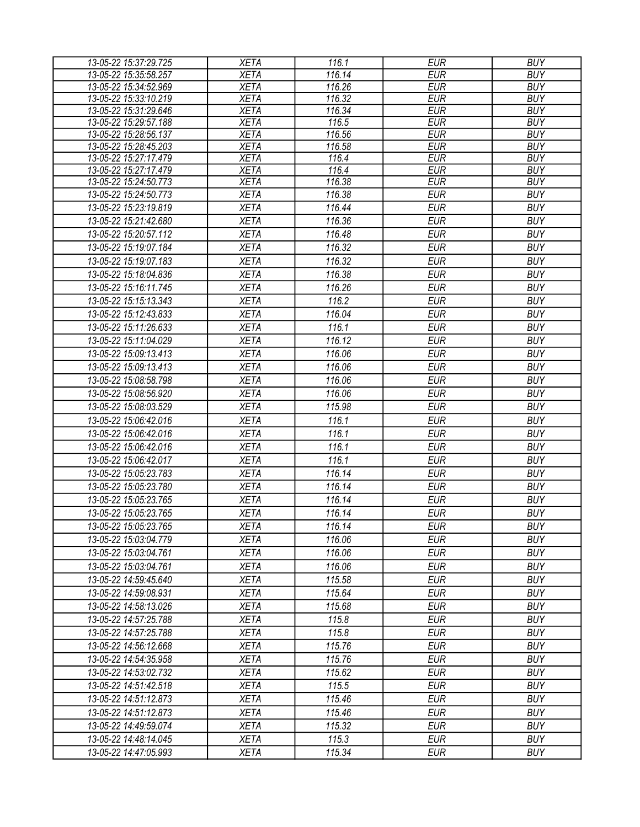| 13-05-22 15:37:29.725 | <b>XETA</b> | 116.1  | <b>EUR</b> | <b>BUY</b> |
|-----------------------|-------------|--------|------------|------------|
| 13-05-22 15:35:58.257 | <b>XETA</b> | 116.14 | <b>EUR</b> | <b>BUY</b> |
| 13-05-22 15:34:52.969 | <b>XETA</b> | 116.26 | <b>EUR</b> | <b>BUY</b> |
| 13-05-22 15:33:10.219 | <b>XETA</b> | 116.32 | <b>EUR</b> | <b>BUY</b> |
| 13-05-22 15:31:29.646 | <b>XETA</b> | 116.34 | <b>EUR</b> | <b>BUY</b> |
| 13-05-22 15:29:57.188 | <b>XETA</b> | 116.5  | <b>EUR</b> | <b>BUY</b> |
| 13-05-22 15:28:56.137 | <b>XETA</b> | 116.56 | <b>EUR</b> | <b>BUY</b> |
| 13-05-22 15:28:45.203 | <b>XETA</b> | 116.58 | <b>EUR</b> | <b>BUY</b> |
| 13-05-22 15:27:17.479 | <b>XETA</b> | 116.4  | <b>EUR</b> | <b>BUY</b> |
| 13-05-22 15:27:17.479 | <b>XETA</b> | 116.4  | <b>EUR</b> | <b>BUY</b> |
| 13-05-22 15:24:50.773 | <b>XETA</b> | 116.38 | <b>EUR</b> | <b>BUY</b> |
| 13-05-22 15:24:50.773 | <b>XETA</b> | 116.38 | <b>EUR</b> | <b>BUY</b> |
| 13-05-22 15:23:19.819 | <b>XETA</b> | 116.44 | <b>EUR</b> | <b>BUY</b> |
| 13-05-22 15:21:42.680 | <b>XETA</b> | 116.36 | <b>EUR</b> | <b>BUY</b> |
| 13-05-22 15:20:57.112 | <b>XETA</b> | 116.48 | <b>EUR</b> | <b>BUY</b> |
| 13-05-22 15:19:07.184 | <b>XETA</b> | 116.32 | <b>EUR</b> | <b>BUY</b> |
| 13-05-22 15:19:07.183 | <b>XETA</b> | 116.32 | <b>EUR</b> | <b>BUY</b> |
| 13-05-22 15:18:04.836 | <b>XETA</b> | 116.38 | <b>EUR</b> | <b>BUY</b> |
| 13-05-22 15:16:11.745 | <b>XETA</b> | 116.26 | <b>EUR</b> | <b>BUY</b> |
| 13-05-22 15:15:13.343 | <b>XETA</b> | 116.2  | <b>EUR</b> | <b>BUY</b> |
| 13-05-22 15:12:43.833 | <b>XETA</b> | 116.04 | <b>EUR</b> | <b>BUY</b> |
| 13-05-22 15:11:26.633 | <b>XETA</b> | 116.1  | <b>EUR</b> | <b>BUY</b> |
| 13-05-22 15:11:04.029 | <b>XETA</b> | 116.12 | <b>EUR</b> | <b>BUY</b> |
| 13-05-22 15:09:13.413 | <b>XETA</b> | 116.06 | <b>EUR</b> | <b>BUY</b> |
| 13-05-22 15:09:13.413 | <b>XETA</b> | 116.06 | <b>EUR</b> | <b>BUY</b> |
| 13-05-22 15:08:58.798 | <b>XETA</b> | 116.06 | <b>EUR</b> | <b>BUY</b> |
| 13-05-22 15:08:56.920 | <b>XETA</b> | 116.06 | <b>EUR</b> | <b>BUY</b> |
| 13-05-22 15:08:03.529 | <b>XETA</b> | 115.98 | <b>EUR</b> | <b>BUY</b> |
| 13-05-22 15:06:42.016 | <b>XETA</b> | 116.1  | <b>EUR</b> | <b>BUY</b> |
| 13-05-22 15:06:42.016 | <b>XETA</b> | 116.1  | <b>EUR</b> | <b>BUY</b> |
| 13-05-22 15:06:42.016 | <b>XETA</b> | 116.1  | <b>EUR</b> | <b>BUY</b> |
| 13-05-22 15:06:42.017 | <b>XETA</b> | 116.1  | <b>EUR</b> | <b>BUY</b> |
|                       |             |        |            |            |
| 13-05-22 15:05:23.783 | <b>XETA</b> | 116.14 | <b>EUR</b> | <b>BUY</b> |
| 13-05-22 15:05:23.780 | <b>XETA</b> | 116.14 | <b>EUR</b> | <b>BUY</b> |
| 13-05-22 15:05:23.765 | <b>XETA</b> | 116.14 | <b>EUR</b> | <b>BUY</b> |
| 13-05-22 15:05:23.765 | <b>XETA</b> | 116.14 | <b>EUR</b> | <b>BUY</b> |
| 13-05-22 15:05:23.765 | <b>XETA</b> | 116.14 | <b>EUR</b> | <b>BUY</b> |
| 13-05-22 15:03:04.779 | <b>XETA</b> | 116.06 | EUR        | <b>BUY</b> |
| 13-05-22 15:03:04.761 | <b>XETA</b> | 116.06 | <b>EUR</b> | <b>BUY</b> |
| 13-05-22 15:03:04.761 | <b>XETA</b> | 116.06 | <b>EUR</b> | <b>BUY</b> |
| 13-05-22 14:59:45.640 | <b>XETA</b> | 115.58 | <b>EUR</b> | <b>BUY</b> |
| 13-05-22 14:59:08.931 | <b>XETA</b> | 115.64 | <b>EUR</b> | <b>BUY</b> |
| 13-05-22 14:58:13.026 | <b>XETA</b> | 115.68 | <b>EUR</b> | <b>BUY</b> |
| 13-05-22 14:57:25.788 | <b>XETA</b> | 115.8  | <b>EUR</b> | <b>BUY</b> |
| 13-05-22 14:57:25.788 | <b>XETA</b> | 115.8  | <b>EUR</b> | <b>BUY</b> |
| 13-05-22 14:56:12.668 | <b>XETA</b> | 115.76 | <b>EUR</b> | <b>BUY</b> |
| 13-05-22 14:54:35.958 | <b>XETA</b> | 115.76 | <b>EUR</b> | <b>BUY</b> |
| 13-05-22 14:53:02.732 | <b>XETA</b> | 115.62 | <b>EUR</b> | <b>BUY</b> |
| 13-05-22 14:51:42.518 | <b>XETA</b> | 115.5  | <b>EUR</b> | <b>BUY</b> |
| 13-05-22 14:51:12.873 | <b>XETA</b> | 115.46 | <b>EUR</b> | <b>BUY</b> |
| 13-05-22 14:51:12.873 | <b>XETA</b> | 115.46 | <b>EUR</b> | <b>BUY</b> |
| 13-05-22 14:49:59.074 | <b>XETA</b> | 115.32 | <b>EUR</b> | <b>BUY</b> |
| 13-05-22 14:48:14.045 | <b>XETA</b> | 115.3  | <b>EUR</b> | <b>BUY</b> |
| 13-05-22 14:47:05.993 | <b>XETA</b> | 115.34 | <b>EUR</b> | <b>BUY</b> |
|                       |             |        |            |            |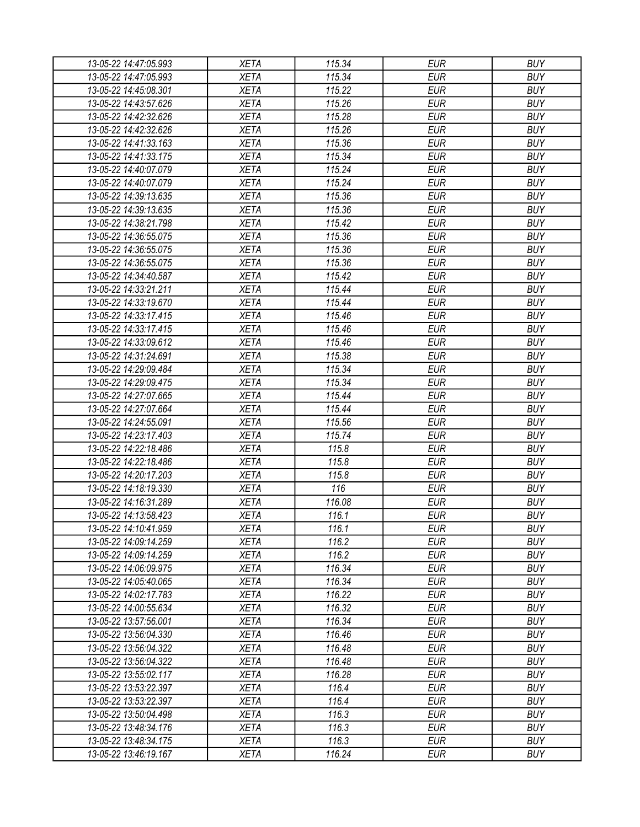| 13-05-22 14:47:05.993 | XETA        | 115.34 | EUR        | <b>BUY</b> |
|-----------------------|-------------|--------|------------|------------|
| 13-05-22 14:47:05.993 | <b>XETA</b> | 115.34 | <b>EUR</b> | <b>BUY</b> |
| 13-05-22 14:45:08.301 | <b>XETA</b> | 115.22 | <b>EUR</b> | <b>BUY</b> |
| 13-05-22 14:43:57.626 | <b>XETA</b> | 115.26 | <b>EUR</b> | <b>BUY</b> |
| 13-05-22 14:42:32.626 | <b>XETA</b> | 115.28 | <b>EUR</b> | <b>BUY</b> |
| 13-05-22 14:42:32.626 | <b>XETA</b> | 115.26 | <b>EUR</b> | <b>BUY</b> |
| 13-05-22 14:41:33.163 | <b>XETA</b> | 115.36 | <b>EUR</b> | <b>BUY</b> |
| 13-05-22 14:41:33.175 | <b>XETA</b> | 115.34 | <b>EUR</b> | <b>BUY</b> |
| 13-05-22 14:40:07.079 | <b>XETA</b> | 115.24 | <b>EUR</b> | <b>BUY</b> |
| 13-05-22 14:40:07.079 | <b>XETA</b> | 115.24 | <b>EUR</b> | <b>BUY</b> |
| 13-05-22 14:39:13.635 | <b>XETA</b> | 115.36 | <b>EUR</b> | <b>BUY</b> |
| 13-05-22 14:39:13.635 | <b>XETA</b> | 115.36 | <b>EUR</b> | <b>BUY</b> |
| 13-05-22 14:38:21.798 | <b>XETA</b> | 115.42 | <b>EUR</b> | <b>BUY</b> |
| 13-05-22 14:36:55.075 | <b>XETA</b> | 115.36 | <b>EUR</b> | <b>BUY</b> |
| 13-05-22 14:36:55.075 | <b>XETA</b> | 115.36 | <b>EUR</b> | <b>BUY</b> |
| 13-05-22 14:36:55.075 | <b>XETA</b> | 115.36 | <b>EUR</b> | <b>BUY</b> |
| 13-05-22 14:34:40.587 | <b>XETA</b> | 115.42 | <b>EUR</b> | <b>BUY</b> |
| 13-05-22 14:33:21.211 | <b>XETA</b> | 115.44 | <b>EUR</b> | <b>BUY</b> |
| 13-05-22 14:33:19.670 | <b>XETA</b> | 115.44 | <b>EUR</b> | <b>BUY</b> |
| 13-05-22 14:33:17.415 | <b>XETA</b> | 115.46 | <b>EUR</b> | <b>BUY</b> |
| 13-05-22 14:33:17.415 | <b>XETA</b> | 115.46 | <b>EUR</b> | <b>BUY</b> |
| 13-05-22 14:33:09.612 | <b>XETA</b> | 115.46 | <b>EUR</b> | <b>BUY</b> |
| 13-05-22 14:31:24.691 | <b>XETA</b> | 115.38 | <b>EUR</b> | <b>BUY</b> |
| 13-05-22 14:29:09.484 | <b>XETA</b> | 115.34 | <b>EUR</b> | <b>BUY</b> |
|                       |             | 115.34 | <b>EUR</b> | <b>BUY</b> |
| 13-05-22 14:29:09.475 | <b>XETA</b> |        |            |            |
| 13-05-22 14:27:07.665 | <b>XETA</b> | 115.44 | <b>EUR</b> | <b>BUY</b> |
| 13-05-22 14:27:07.664 | <b>XETA</b> | 115.44 | <b>EUR</b> | <b>BUY</b> |
| 13-05-22 14:24:55.091 | <b>XETA</b> | 115.56 | <b>EUR</b> | <b>BUY</b> |
| 13-05-22 14:23:17.403 | <b>XETA</b> | 115.74 | <b>EUR</b> | <b>BUY</b> |
| 13-05-22 14:22:18.486 | <b>XETA</b> | 115.8  | <b>EUR</b> | <b>BUY</b> |
| 13-05-22 14:22:18.486 | <b>XETA</b> | 115.8  | <b>EUR</b> | <b>BUY</b> |
| 13-05-22 14:20:17.203 | <b>XETA</b> | 115.8  | <b>EUR</b> | <b>BUY</b> |
| 13-05-22 14:18:19.330 | <b>XETA</b> | 116    | <b>EUR</b> | <b>BUY</b> |
| 13-05-22 14:16:31.289 | <b>XETA</b> | 116.08 | <b>EUR</b> | <b>BUY</b> |
| 13-05-22 14:13:58.423 | <b>XETA</b> | 116.1  | <b>EUR</b> | <b>BUY</b> |
| 13-05-22 14:10:41.959 | <b>XETA</b> | 116.1  | <b>EUR</b> | <b>BUY</b> |
| 13-05-22 14:09:14.259 | <b>XETA</b> | 116.2  | <b>EUR</b> | <b>BUY</b> |
| 13-05-22 14:09:14.259 | <b>XETA</b> | 116.2  | <b>EUR</b> | <b>BUY</b> |
| 13-05-22 14:06:09.975 | <b>XETA</b> | 116.34 | <b>EUR</b> | <b>BUY</b> |
| 13-05-22 14:05:40.065 | <b>XETA</b> | 116.34 | <b>EUR</b> | <b>BUY</b> |
| 13-05-22 14:02:17.783 | <b>XETA</b> | 116.22 | <b>EUR</b> | <b>BUY</b> |
| 13-05-22 14:00:55.634 | <b>XETA</b> | 116.32 | <b>EUR</b> | <b>BUY</b> |
| 13-05-22 13:57:56.001 | <b>XETA</b> | 116.34 | <b>EUR</b> | <b>BUY</b> |
| 13-05-22 13:56:04.330 | <b>XETA</b> | 116.46 | <b>EUR</b> | <b>BUY</b> |
| 13-05-22 13:56:04.322 | <b>XETA</b> | 116.48 | <b>EUR</b> | <b>BUY</b> |
| 13-05-22 13:56:04.322 | <b>XETA</b> | 116.48 | <b>EUR</b> | <b>BUY</b> |
| 13-05-22 13:55:02.117 | <b>XETA</b> | 116.28 | <b>EUR</b> | <b>BUY</b> |
| 13-05-22 13:53:22.397 | <b>XETA</b> | 116.4  | <b>EUR</b> | <b>BUY</b> |
| 13-05-22 13:53:22.397 | <b>XETA</b> | 116.4  | <b>EUR</b> | <b>BUY</b> |
| 13-05-22 13:50:04.498 | <b>XETA</b> | 116.3  | <b>EUR</b> | <b>BUY</b> |
| 13-05-22 13:48:34.176 | <b>XETA</b> | 116.3  | EUR        | <b>BUY</b> |
| 13-05-22 13:48:34.175 | <b>XETA</b> | 116.3  | <b>EUR</b> | <b>BUY</b> |
| 13-05-22 13:46:19.167 | <b>XETA</b> | 116.24 | <b>EUR</b> | <b>BUY</b> |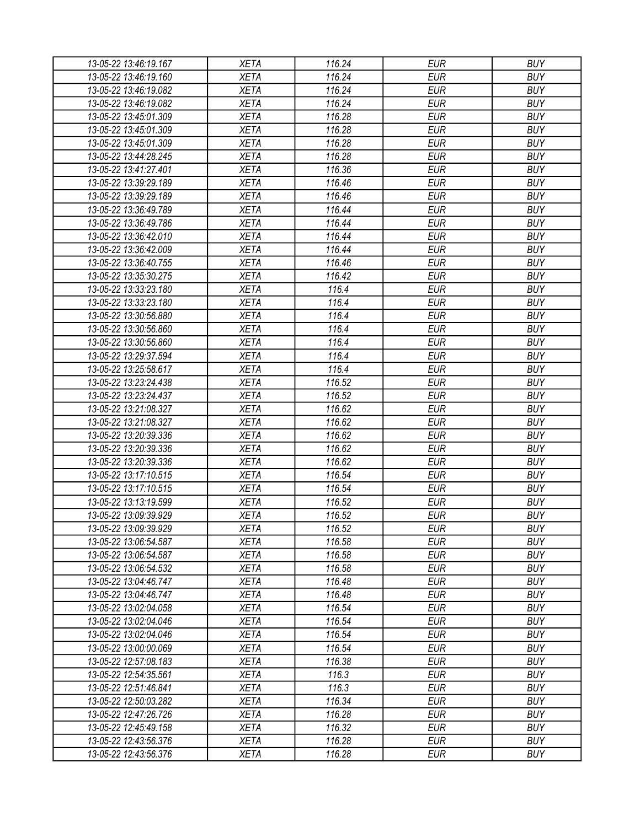| 13-05-22 13:46:19.167 | XETA        | 116.24 | EUR        | <b>BUY</b> |
|-----------------------|-------------|--------|------------|------------|
| 13-05-22 13:46:19.160 | <b>XETA</b> | 116.24 | <b>EUR</b> | <b>BUY</b> |
| 13-05-22 13:46:19.082 | <b>XETA</b> | 116.24 | <b>EUR</b> | <b>BUY</b> |
| 13-05-22 13:46:19.082 | <b>XETA</b> | 116.24 | <b>EUR</b> | <b>BUY</b> |
| 13-05-22 13:45:01.309 | <b>XETA</b> | 116.28 | <b>EUR</b> | <b>BUY</b> |
| 13-05-22 13:45:01.309 | <b>XETA</b> | 116.28 | <b>EUR</b> | <b>BUY</b> |
| 13-05-22 13:45:01.309 | <b>XETA</b> | 116.28 | <b>EUR</b> | <b>BUY</b> |
| 13-05-22 13:44:28.245 | <b>XETA</b> | 116.28 | <b>EUR</b> | <b>BUY</b> |
| 13-05-22 13:41:27.401 | <b>XETA</b> | 116.36 | <b>EUR</b> | <b>BUY</b> |
| 13-05-22 13:39:29.189 | <b>XETA</b> | 116.46 | <b>EUR</b> | <b>BUY</b> |
| 13-05-22 13:39:29.189 | <b>XETA</b> | 116.46 | <b>EUR</b> | <b>BUY</b> |
| 13-05-22 13:36:49.789 | <b>XETA</b> | 116.44 | <b>EUR</b> | <b>BUY</b> |
| 13-05-22 13:36:49.786 | <b>XETA</b> | 116.44 | <b>EUR</b> | <b>BUY</b> |
| 13-05-22 13:36:42.010 | <b>XETA</b> | 116.44 | <b>EUR</b> | <b>BUY</b> |
| 13-05-22 13:36:42.009 | <b>XETA</b> | 116.44 | <b>EUR</b> | <b>BUY</b> |
| 13-05-22 13:36:40.755 | <b>XETA</b> | 116.46 | <b>EUR</b> | <b>BUY</b> |
| 13-05-22 13:35:30.275 | <b>XETA</b> | 116.42 | <b>EUR</b> | <b>BUY</b> |
| 13-05-22 13:33:23.180 | <b>XETA</b> | 116.4  | <b>EUR</b> | <b>BUY</b> |
| 13-05-22 13:33:23.180 | <b>XETA</b> | 116.4  | <b>EUR</b> | <b>BUY</b> |
| 13-05-22 13:30:56.880 | <b>XETA</b> | 116.4  | <b>EUR</b> | <b>BUY</b> |
| 13-05-22 13:30:56.860 | <b>XETA</b> | 116.4  | <b>EUR</b> | <b>BUY</b> |
| 13-05-22 13:30:56.860 | <b>XETA</b> | 116.4  | <b>EUR</b> | <b>BUY</b> |
| 13-05-22 13:29:37.594 | <b>XETA</b> | 116.4  | <b>EUR</b> | <b>BUY</b> |
|                       |             | 116.4  |            | <b>BUY</b> |
| 13-05-22 13:25:58.617 | <b>XETA</b> |        | <b>EUR</b> |            |
| 13-05-22 13:23:24.438 | <b>XETA</b> | 116.52 | <b>EUR</b> | <b>BUY</b> |
| 13-05-22 13:23:24.437 | <b>XETA</b> | 116.52 | <b>EUR</b> | <b>BUY</b> |
| 13-05-22 13:21:08.327 | <b>XETA</b> | 116.62 | <b>EUR</b> | <b>BUY</b> |
| 13-05-22 13:21:08.327 | <b>XETA</b> | 116.62 | <b>EUR</b> | <b>BUY</b> |
| 13-05-22 13:20:39.336 | <b>XETA</b> | 116.62 | <b>EUR</b> | <b>BUY</b> |
| 13-05-22 13:20:39.336 | <b>XETA</b> | 116.62 | <b>EUR</b> | <b>BUY</b> |
| 13-05-22 13:20:39.336 | <b>XETA</b> | 116.62 | <b>EUR</b> | <b>BUY</b> |
| 13-05-22 13:17:10.515 | <b>XETA</b> | 116.54 | <b>EUR</b> | <b>BUY</b> |
| 13-05-22 13:17:10.515 | <b>XETA</b> | 116.54 | <b>EUR</b> | <b>BUY</b> |
| 13-05-22 13:13:19.599 | <b>XETA</b> | 116.52 | <b>EUR</b> | <b>BUY</b> |
| 13-05-22 13:09:39.929 | <b>XETA</b> | 116.52 | <b>EUR</b> | <b>BUY</b> |
| 13-05-22 13:09:39.929 | <b>XETA</b> | 116.52 | <b>EUR</b> | <b>BUY</b> |
| 13-05-22 13:06:54.587 | <b>XETA</b> | 116.58 | <b>EUR</b> | <b>BUY</b> |
| 13-05-22 13:06:54.587 | <b>XETA</b> | 116.58 | <b>EUR</b> | <b>BUY</b> |
| 13-05-22 13:06:54.532 | <b>XETA</b> | 116.58 | <b>EUR</b> | <b>BUY</b> |
| 13-05-22 13:04:46.747 | <b>XETA</b> | 116.48 | <b>EUR</b> | <b>BUY</b> |
| 13-05-22 13:04:46.747 | <b>XETA</b> | 116.48 | <b>EUR</b> | <b>BUY</b> |
| 13-05-22 13:02:04.058 | <b>XETA</b> | 116.54 | <b>EUR</b> | <b>BUY</b> |
| 13-05-22 13:02:04.046 | <b>XETA</b> | 116.54 | <b>EUR</b> | <b>BUY</b> |
| 13-05-22 13:02:04.046 | <b>XETA</b> | 116.54 | <b>EUR</b> | <b>BUY</b> |
| 13-05-22 13:00:00.069 | <b>XETA</b> | 116.54 | <b>EUR</b> | <b>BUY</b> |
| 13-05-22 12:57:08.183 | <b>XETA</b> | 116.38 | <b>EUR</b> | <b>BUY</b> |
| 13-05-22 12:54:35.561 | <b>XETA</b> | 116.3  | <b>EUR</b> | <b>BUY</b> |
| 13-05-22 12:51:46.841 | <b>XETA</b> | 116.3  | <b>EUR</b> | <b>BUY</b> |
| 13-05-22 12:50:03.282 | <b>XETA</b> | 116.34 | <b>EUR</b> | <b>BUY</b> |
| 13-05-22 12:47:26.726 | <b>XETA</b> | 116.28 | <b>EUR</b> | <b>BUY</b> |
| 13-05-22 12:45:49.158 | <b>XETA</b> | 116.32 | EUR        | <b>BUY</b> |
| 13-05-22 12:43:56.376 | <b>XETA</b> | 116.28 | <b>EUR</b> | <b>BUY</b> |
| 13-05-22 12:43:56.376 | <b>XETA</b> | 116.28 | <b>EUR</b> | <b>BUY</b> |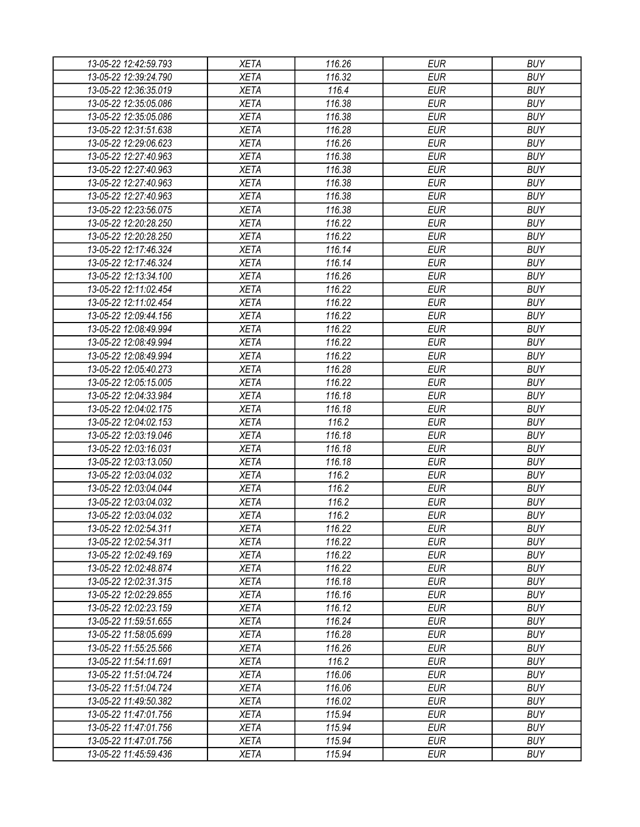| 13-05-22 12:42:59.793 | <b>XETA</b> | 116.26 | <b>EUR</b> | <b>BUY</b> |
|-----------------------|-------------|--------|------------|------------|
| 13-05-22 12:39:24.790 | <b>XETA</b> | 116.32 | <b>EUR</b> | <b>BUY</b> |
| 13-05-22 12:36:35.019 | <b>XETA</b> | 116.4  | <b>EUR</b> | <b>BUY</b> |
| 13-05-22 12:35:05.086 | <b>XETA</b> | 116.38 | <b>EUR</b> | <b>BUY</b> |
| 13-05-22 12:35:05.086 | <b>XETA</b> | 116.38 | <b>EUR</b> | <b>BUY</b> |
| 13-05-22 12:31:51.638 | <b>XETA</b> | 116.28 | <b>EUR</b> | <b>BUY</b> |
| 13-05-22 12:29:06.623 | <b>XETA</b> | 116.26 | <b>EUR</b> | <b>BUY</b> |
| 13-05-22 12:27:40.963 | <b>XETA</b> | 116.38 | <b>EUR</b> | <b>BUY</b> |
| 13-05-22 12:27:40.963 | <b>XETA</b> | 116.38 | <b>EUR</b> | <b>BUY</b> |
| 13-05-22 12:27:40.963 | <b>XETA</b> | 116.38 | <b>EUR</b> | <b>BUY</b> |
| 13-05-22 12:27:40.963 | <b>XETA</b> | 116.38 | <b>EUR</b> | <b>BUY</b> |
| 13-05-22 12:23:56.075 | <b>XETA</b> | 116.38 | <b>EUR</b> | <b>BUY</b> |
| 13-05-22 12:20:28.250 | <b>XETA</b> | 116.22 | <b>EUR</b> | <b>BUY</b> |
| 13-05-22 12:20:28.250 | <b>XETA</b> | 116.22 | <b>EUR</b> | <b>BUY</b> |
| 13-05-22 12:17:46.324 | <b>XETA</b> | 116.14 | <b>EUR</b> | <b>BUY</b> |
| 13-05-22 12:17:46.324 | <b>XETA</b> | 116.14 | <b>EUR</b> | <b>BUY</b> |
| 13-05-22 12:13:34.100 | <b>XETA</b> | 116.26 | <b>EUR</b> | <b>BUY</b> |
| 13-05-22 12:11:02.454 | <b>XETA</b> | 116.22 | <b>EUR</b> | <b>BUY</b> |
| 13-05-22 12:11:02.454 | <b>XETA</b> | 116.22 | <b>EUR</b> | <b>BUY</b> |
| 13-05-22 12:09:44.156 | <b>XETA</b> | 116.22 | <b>EUR</b> | <b>BUY</b> |
| 13-05-22 12:08:49.994 | <b>XETA</b> | 116.22 | <b>EUR</b> | <b>BUY</b> |
| 13-05-22 12:08:49.994 | <b>XETA</b> | 116.22 | <b>EUR</b> | <b>BUY</b> |
| 13-05-22 12:08:49.994 | <b>XETA</b> | 116.22 | <b>EUR</b> | <b>BUY</b> |
| 13-05-22 12:05:40.273 | <b>XETA</b> | 116.28 | <b>EUR</b> | <b>BUY</b> |
| 13-05-22 12:05:15.005 | <b>XETA</b> | 116.22 | <b>EUR</b> | <b>BUY</b> |
| 13-05-22 12:04:33.984 | <b>XETA</b> | 116.18 | <b>EUR</b> | <b>BUY</b> |
| 13-05-22 12:04:02.175 | <b>XETA</b> | 116.18 | <b>EUR</b> | <b>BUY</b> |
| 13-05-22 12:04:02.153 | <b>XETA</b> | 116.2  | <b>EUR</b> | <b>BUY</b> |
| 13-05-22 12:03:19.046 | <b>XETA</b> | 116.18 | <b>EUR</b> | <b>BUY</b> |
| 13-05-22 12:03:16.031 | <b>XETA</b> | 116.18 | <b>EUR</b> | <b>BUY</b> |
| 13-05-22 12:03:13.050 | <b>XETA</b> | 116.18 | <b>EUR</b> | <b>BUY</b> |
| 13-05-22 12:03:04.032 | <b>XETA</b> | 116.2  | <b>EUR</b> | <b>BUY</b> |
| 13-05-22 12:03:04.044 | <b>XETA</b> | 116.2  | <b>EUR</b> | <b>BUY</b> |
| 13-05-22 12:03:04.032 | <b>XETA</b> | 116.2  | <b>EUR</b> | <b>BUY</b> |
| 13-05-22 12:03:04.032 | <b>XETA</b> | 116.2  | <b>EUR</b> | <b>BUY</b> |
| 13-05-22 12:02:54.311 | <b>XETA</b> | 116.22 | <b>EUR</b> | <b>BUY</b> |
| 13-05-22 12:02:54.311 | <b>XETA</b> | 116.22 | <b>EUR</b> | <b>BUY</b> |
| 13-05-22 12:02:49.169 | <b>XETA</b> | 116.22 | <b>EUR</b> | <b>BUY</b> |
| 13-05-22 12:02:48.874 | <b>XETA</b> | 116.22 | <b>EUR</b> | <b>BUY</b> |
| 13-05-22 12:02:31.315 | <b>XETA</b> | 116.18 | <b>EUR</b> | <b>BUY</b> |
| 13-05-22 12:02:29.855 | <b>XETA</b> | 116.16 | <b>EUR</b> | <b>BUY</b> |
| 13-05-22 12:02:23.159 | <b>XETA</b> | 116.12 | <b>EUR</b> | <b>BUY</b> |
| 13-05-22 11:59:51.655 | <b>XETA</b> | 116.24 | <b>EUR</b> | <b>BUY</b> |
| 13-05-22 11:58:05.699 | <b>XETA</b> | 116.28 | <b>EUR</b> | <b>BUY</b> |
| 13-05-22 11:55:25.566 | <b>XETA</b> | 116.26 | <b>EUR</b> | <b>BUY</b> |
| 13-05-22 11:54:11.691 | <b>XETA</b> | 116.2  | <b>EUR</b> | <b>BUY</b> |
| 13-05-22 11:51:04.724 | <b>XETA</b> | 116.06 | <b>EUR</b> | <b>BUY</b> |
| 13-05-22 11:51:04.724 | <b>XETA</b> | 116.06 | <b>EUR</b> | <b>BUY</b> |
| 13-05-22 11:49:50.382 | <b>XETA</b> | 116.02 | <b>EUR</b> | <b>BUY</b> |
| 13-05-22 11:47:01.756 | <b>XETA</b> | 115.94 | <b>EUR</b> | <b>BUY</b> |
| 13-05-22 11:47:01.756 | <b>XETA</b> | 115.94 | <b>EUR</b> | <b>BUY</b> |
| 13-05-22 11:47:01.756 | <b>XETA</b> | 115.94 | <b>EUR</b> | <b>BUY</b> |
| 13-05-22 11:45:59.436 | <b>XETA</b> | 115.94 | <b>EUR</b> | <b>BUY</b> |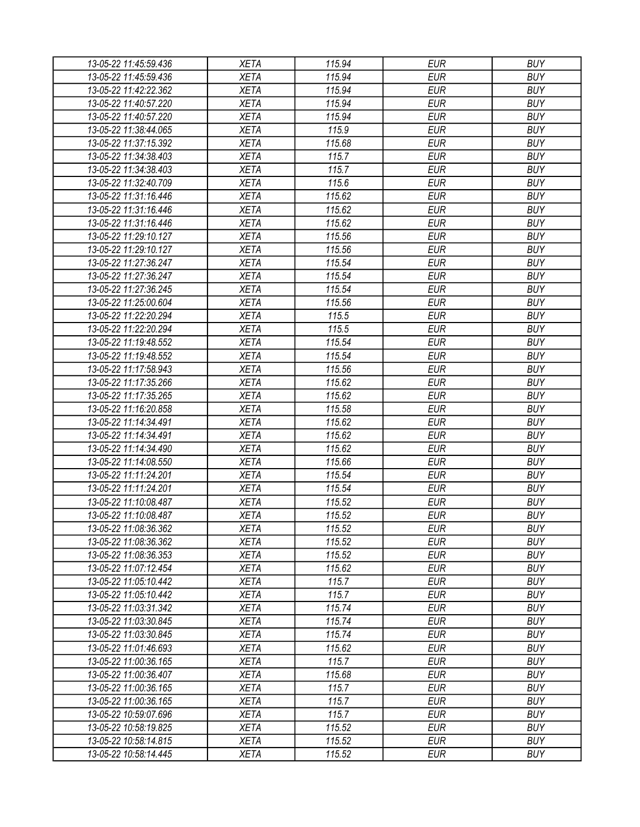| 13-05-22 11:45:59.436 | <b>XETA</b> | 115.94 | EUR        | <b>BUY</b> |
|-----------------------|-------------|--------|------------|------------|
| 13-05-22 11:45:59.436 | <b>XETA</b> | 115.94 | <b>EUR</b> | <b>BUY</b> |
| 13-05-22 11:42:22.362 | <b>XETA</b> | 115.94 | <b>EUR</b> | <b>BUY</b> |
| 13-05-22 11:40:57.220 | <b>XETA</b> | 115.94 | <b>EUR</b> | <b>BUY</b> |
| 13-05-22 11:40:57.220 | <b>XETA</b> | 115.94 | <b>EUR</b> | <b>BUY</b> |
| 13-05-22 11:38:44.065 | <b>XETA</b> | 115.9  | <b>EUR</b> | <b>BUY</b> |
| 13-05-22 11:37:15.392 | <b>XETA</b> | 115.68 | <b>EUR</b> | <b>BUY</b> |
| 13-05-22 11:34:38.403 | <b>XETA</b> | 115.7  | <b>EUR</b> | <b>BUY</b> |
| 13-05-22 11:34:38.403 | <b>XETA</b> | 115.7  | <b>EUR</b> | <b>BUY</b> |
| 13-05-22 11:32:40.709 | <b>XETA</b> | 115.6  | <b>EUR</b> | <b>BUY</b> |
| 13-05-22 11:31:16.446 | <b>XETA</b> | 115.62 | <b>EUR</b> | <b>BUY</b> |
| 13-05-22 11:31:16.446 | <b>XETA</b> | 115.62 | <b>EUR</b> | <b>BUY</b> |
| 13-05-22 11:31:16.446 | <b>XETA</b> | 115.62 | <b>EUR</b> | <b>BUY</b> |
| 13-05-22 11:29:10.127 | <b>XETA</b> | 115.56 | <b>EUR</b> | <b>BUY</b> |
| 13-05-22 11:29:10.127 | <b>XETA</b> | 115.56 | <b>EUR</b> | <b>BUY</b> |
| 13-05-22 11:27:36.247 | <b>XETA</b> | 115.54 | <b>EUR</b> | <b>BUY</b> |
| 13-05-22 11:27:36.247 | <b>XETA</b> | 115.54 | <b>EUR</b> | <b>BUY</b> |
| 13-05-22 11:27:36.245 | <b>XETA</b> | 115.54 | <b>EUR</b> | <b>BUY</b> |
| 13-05-22 11:25:00.604 | <b>XETA</b> | 115.56 | <b>EUR</b> | <b>BUY</b> |
| 13-05-22 11:22:20.294 | <b>XETA</b> | 115.5  | <b>EUR</b> | <b>BUY</b> |
| 13-05-22 11:22:20.294 | <b>XETA</b> | 115.5  | <b>EUR</b> | <b>BUY</b> |
| 13-05-22 11:19:48.552 | <b>XETA</b> | 115.54 | <b>EUR</b> | <b>BUY</b> |
| 13-05-22 11:19:48.552 | <b>XETA</b> | 115.54 | <b>EUR</b> | <b>BUY</b> |
| 13-05-22 11:17:58.943 | <b>XETA</b> | 115.56 | <b>EUR</b> | <b>BUY</b> |
| 13-05-22 11:17:35.266 | <b>XETA</b> | 115.62 | <b>EUR</b> | <b>BUY</b> |
| 13-05-22 11:17:35.265 | <b>XETA</b> | 115.62 | <b>EUR</b> | <b>BUY</b> |
| 13-05-22 11:16:20.858 | <b>XETA</b> | 115.58 | <b>EUR</b> | <b>BUY</b> |
| 13-05-22 11:14:34.491 | <b>XETA</b> | 115.62 | <b>EUR</b> | <b>BUY</b> |
| 13-05-22 11:14:34.491 | <b>XETA</b> | 115.62 | <b>EUR</b> | <b>BUY</b> |
| 13-05-22 11:14:34.490 | <b>XETA</b> | 115.62 | <b>EUR</b> | <b>BUY</b> |
| 13-05-22 11:14:08.550 | <b>XETA</b> | 115.66 | <b>EUR</b> | <b>BUY</b> |
| 13-05-22 11:11:24.201 | <b>XETA</b> | 115.54 | <b>EUR</b> | <b>BUY</b> |
| 13-05-22 11:11:24.201 | <b>XETA</b> | 115.54 | <b>EUR</b> | <b>BUY</b> |
| 13-05-22 11:10:08.487 | <b>XETA</b> | 115.52 | <b>EUR</b> | <b>BUY</b> |
|                       |             | 115.52 | <b>EUR</b> | <b>BUY</b> |
| 13-05-22 11:10:08.487 | <b>XETA</b> |        |            |            |
| 13-05-22 11:08:36.362 | <b>XETA</b> | 115.52 | <b>EUR</b> | <b>BUY</b> |
| 13-05-22 11:08:36.362 | <b>XETA</b> | 115.52 | <b>EUR</b> | <b>BUY</b> |
| 13-05-22 11:08:36.353 | <b>XETA</b> | 115.52 | <b>EUR</b> | <b>BUY</b> |
| 13-05-22 11:07:12.454 | <b>XETA</b> | 115.62 | <b>EUR</b> | <b>BUY</b> |
| 13-05-22 11:05:10.442 | <b>XETA</b> | 115.7  | <b>EUR</b> | <b>BUY</b> |
| 13-05-22 11:05:10.442 | <b>XETA</b> | 115.7  | <b>EUR</b> | <b>BUY</b> |
| 13-05-22 11:03:31.342 | <b>XETA</b> | 115.74 | <b>EUR</b> | <b>BUY</b> |
| 13-05-22 11:03:30.845 | <b>XETA</b> | 115.74 | <b>EUR</b> | <b>BUY</b> |
| 13-05-22 11:03:30.845 | <b>XETA</b> | 115.74 | <b>EUR</b> | <b>BUY</b> |
| 13-05-22 11:01:46.693 | <b>XETA</b> | 115.62 | <b>EUR</b> | <b>BUY</b> |
| 13-05-22 11:00:36.165 | <b>XETA</b> | 115.7  | <b>EUR</b> | <b>BUY</b> |
| 13-05-22 11:00:36.407 | <b>XETA</b> | 115.68 | <b>EUR</b> | <b>BUY</b> |
| 13-05-22 11:00:36.165 | <b>XETA</b> | 115.7  | <b>EUR</b> | <b>BUY</b> |
| 13-05-22 11:00:36.165 | <b>XETA</b> | 115.7  | <b>EUR</b> | <b>BUY</b> |
| 13-05-22 10:59:07.696 | <b>XETA</b> | 115.7  | <b>EUR</b> | <b>BUY</b> |
| 13-05-22 10:58:19.825 | <b>XETA</b> | 115.52 | EUR        | <b>BUY</b> |
| 13-05-22 10:58:14.815 | <b>XETA</b> | 115.52 | <b>EUR</b> | <b>BUY</b> |
| 13-05-22 10:58:14.445 | <b>XETA</b> | 115.52 | <b>EUR</b> | <b>BUY</b> |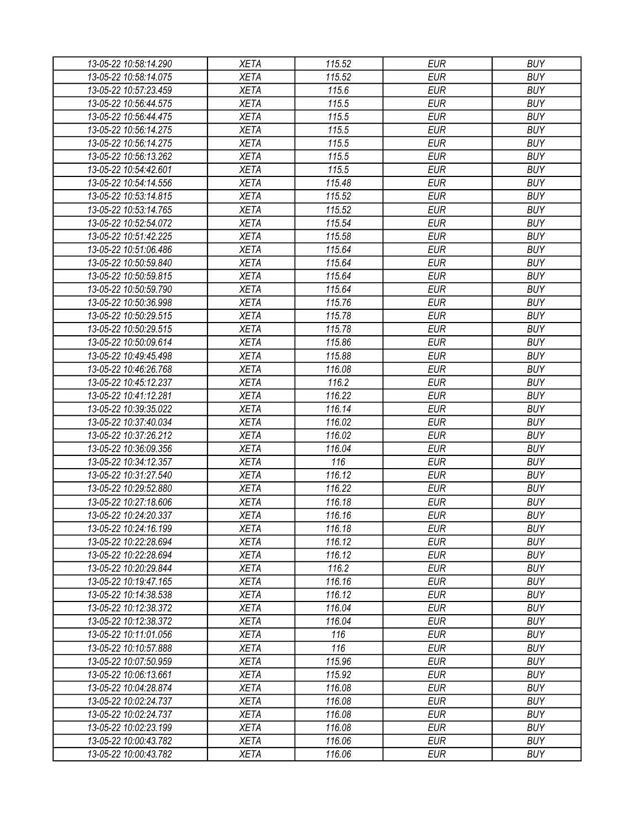| 13-05-22 10:58:14.290 | <b>XETA</b> | 115.52           | <b>EUR</b> | <b>BUY</b> |
|-----------------------|-------------|------------------|------------|------------|
| 13-05-22 10:58:14.075 | <b>XETA</b> | 115.52           | <b>EUR</b> | <b>BUY</b> |
| 13-05-22 10:57:23.459 | <b>XETA</b> | 115.6            | <b>EUR</b> | <b>BUY</b> |
| 13-05-22 10:56:44.575 | <b>XETA</b> | 115.5            | <b>EUR</b> | <b>BUY</b> |
| 13-05-22 10:56:44.475 | <b>XETA</b> | 115.5            | <b>EUR</b> | <b>BUY</b> |
| 13-05-22 10:56:14.275 | <b>XETA</b> | 115.5            | <b>EUR</b> | <b>BUY</b> |
| 13-05-22 10:56:14.275 | <b>XETA</b> | 115.5            | <b>EUR</b> | <b>BUY</b> |
| 13-05-22 10:56:13.262 | <b>XETA</b> | 115.5            | <b>EUR</b> | <b>BUY</b> |
| 13-05-22 10:54:42.601 | <b>XETA</b> | 115.5            | <b>EUR</b> | <b>BUY</b> |
| 13-05-22 10:54:14.556 | <b>XETA</b> | 115.48           | <b>EUR</b> | <b>BUY</b> |
| 13-05-22 10:53:14.815 | <b>XETA</b> | 115.52           | <b>EUR</b> | <b>BUY</b> |
| 13-05-22 10:53:14.765 | <b>XETA</b> | 115.52           | <b>EUR</b> | <b>BUY</b> |
| 13-05-22 10:52:54.072 | <b>XETA</b> | 115.54           | <b>EUR</b> | <b>BUY</b> |
| 13-05-22 10:51:42.225 | <b>XETA</b> | 115.58           | <b>EUR</b> | <b>BUY</b> |
| 13-05-22 10:51:06.486 | <b>XETA</b> | 115.64           | <b>EUR</b> | <b>BUY</b> |
| 13-05-22 10:50:59.840 | <b>XETA</b> | 115.64           | <b>EUR</b> | <b>BUY</b> |
| 13-05-22 10:50:59.815 | <b>XETA</b> | 115.64           | <b>EUR</b> | <b>BUY</b> |
| 13-05-22 10:50:59.790 | <b>XETA</b> | 115.64           | <b>EUR</b> | <b>BUY</b> |
| 13-05-22 10:50:36.998 | <b>XETA</b> | 115.76           | <b>EUR</b> | <b>BUY</b> |
| 13-05-22 10:50:29.515 | <b>XETA</b> | 115.78           | <b>EUR</b> | <b>BUY</b> |
| 13-05-22 10:50:29.515 | <b>XETA</b> | 115.78           | <b>EUR</b> | <b>BUY</b> |
| 13-05-22 10:50:09.614 | <b>XETA</b> | 115.86           | <b>EUR</b> | <b>BUY</b> |
| 13-05-22 10:49:45.498 | <b>XETA</b> | 115.88           | <b>EUR</b> | <b>BUY</b> |
| 13-05-22 10:46:26.768 | <b>XETA</b> | 116.08           | <b>EUR</b> | <b>BUY</b> |
| 13-05-22 10:45:12.237 | <b>XETA</b> | 116.2            | <b>EUR</b> | <b>BUY</b> |
| 13-05-22 10:41:12.281 | <b>XETA</b> | 116.22           | <b>EUR</b> | <b>BUY</b> |
| 13-05-22 10:39:35.022 | <b>XETA</b> | 116.14           | <b>EUR</b> | <b>BUY</b> |
| 13-05-22 10:37:40.034 | <b>XETA</b> | 116.02           | <b>EUR</b> | <b>BUY</b> |
| 13-05-22 10:37:26.212 | <b>XETA</b> | 116.02           | <b>EUR</b> | <b>BUY</b> |
| 13-05-22 10:36:09.356 | <b>XETA</b> | 116.04           | <b>EUR</b> | <b>BUY</b> |
| 13-05-22 10:34:12.357 | <b>XETA</b> | 116              | <b>EUR</b> | <b>BUY</b> |
| 13-05-22 10:31:27.540 | <b>XETA</b> | 116.12           | <b>EUR</b> | <b>BUY</b> |
| 13-05-22 10:29:52.880 | <b>XETA</b> | 116.22           | <b>EUR</b> | <b>BUY</b> |
| 13-05-22 10:27:18.606 | <b>XETA</b> | 116.18           | <b>EUR</b> | <b>BUY</b> |
|                       |             | 116.16           | <b>EUR</b> | <b>BUY</b> |
| 13-05-22 10:24:20.337 | <b>XETA</b> |                  |            |            |
| 13-05-22 10:24:16.199 | <b>XETA</b> | 116.18           | <b>EUR</b> | <b>BUY</b> |
| 13-05-22 10:22:28.694 | <b>XETA</b> | 116.12<br>116.12 | <b>EUR</b> | <b>BUY</b> |
| 13-05-22 10:22:28.694 | <b>XETA</b> |                  | <b>EUR</b> | <b>BUY</b> |
| 13-05-22 10:20:29.844 | <b>XETA</b> | 116.2            | <b>EUR</b> | <b>BUY</b> |
| 13-05-22 10:19:47.165 | <b>XETA</b> | 116.16           | <b>EUR</b> | <b>BUY</b> |
| 13-05-22 10:14:38.538 | <b>XETA</b> | 116.12           | <b>EUR</b> | <b>BUY</b> |
| 13-05-22 10:12:38.372 | <b>XETA</b> | 116.04           | <b>EUR</b> | <b>BUY</b> |
| 13-05-22 10:12:38.372 | <b>XETA</b> | 116.04           | <b>EUR</b> | <b>BUY</b> |
| 13-05-22 10:11:01.056 | <b>XETA</b> | 116              | <b>EUR</b> | <b>BUY</b> |
| 13-05-22 10:10:57.888 | <b>XETA</b> | 116              | <b>EUR</b> | <b>BUY</b> |
| 13-05-22 10:07:50.959 | <b>XETA</b> | 115.96           | <b>EUR</b> | <b>BUY</b> |
| 13-05-22 10:06:13.661 | <b>XETA</b> | 115.92           | <b>EUR</b> | <b>BUY</b> |
| 13-05-22 10:04:28.874 | <b>XETA</b> | 116.08           | <b>EUR</b> | <b>BUY</b> |
| 13-05-22 10:02:24.737 | <b>XETA</b> | 116.08           | <b>EUR</b> | <b>BUY</b> |
| 13-05-22 10:02:24.737 | <b>XETA</b> | 116.08           | <b>EUR</b> | <b>BUY</b> |
| 13-05-22 10:02:23.199 | <b>XETA</b> | 116.08           | <b>EUR</b> | <b>BUY</b> |
| 13-05-22 10:00:43.782 | <b>XETA</b> | 116.06           | <b>EUR</b> | <b>BUY</b> |
| 13-05-22 10:00:43.782 | <b>XETA</b> | 116.06           | <b>EUR</b> | <b>BUY</b> |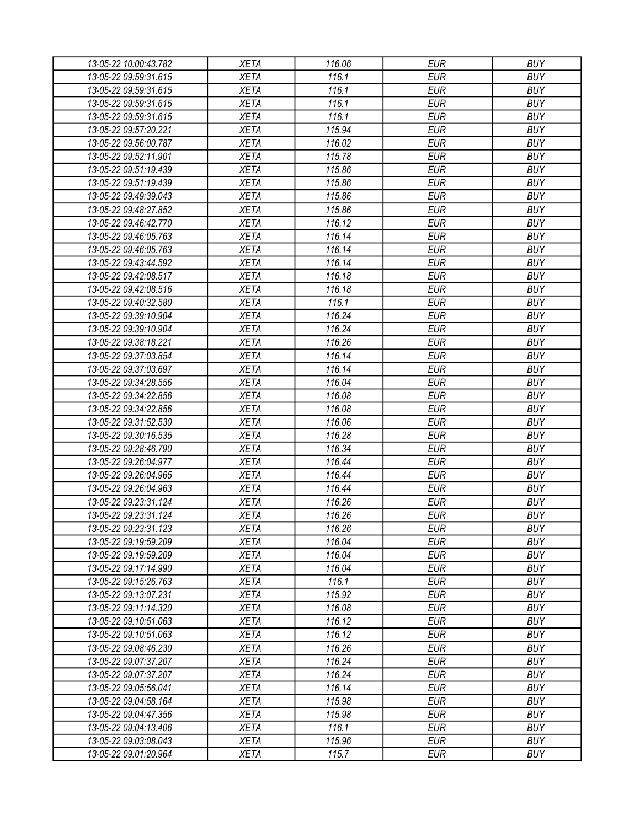| 13-05-22 10:00:43.782                          | <b>XETA</b> | 116.06           | <b>EUR</b> | <b>BUY</b> |
|------------------------------------------------|-------------|------------------|------------|------------|
| 13-05-22 09:59:31.615                          | <b>XETA</b> | 116.1            | <b>EUR</b> | <b>BUY</b> |
| 13-05-22 09:59:31.615                          | <b>XETA</b> | 116.1            | <b>EUR</b> | <b>BUY</b> |
| 13-05-22 09:59:31.615                          | <b>XETA</b> | 116.1            | <b>EUR</b> | <b>BUY</b> |
| 13-05-22 09:59:31.615                          | <b>XETA</b> | 116.1            | <b>EUR</b> | <b>BUY</b> |
| 13-05-22 09:57:20.221                          | <b>XETA</b> | 115.94           | <b>EUR</b> | <b>BUY</b> |
| 13-05-22 09:56:00.787                          | <b>XETA</b> | 116.02           | <b>EUR</b> | <b>BUY</b> |
| 13-05-22 09:52:11.901                          | <b>XETA</b> | 115.78           | <b>EUR</b> | <b>BUY</b> |
| 13-05-22 09:51:19.439                          | <b>XETA</b> | 115.86           | <b>EUR</b> | <b>BUY</b> |
| 13-05-22 09:51:19.439                          | <b>XETA</b> | 115.86           | <b>EUR</b> | <b>BUY</b> |
| 13-05-22 09:49:39.043                          | <b>XETA</b> | 115.86           | <b>EUR</b> | <b>BUY</b> |
| 13-05-22 09:48:27.852                          | <b>XETA</b> | 115.86           | <b>EUR</b> | <b>BUY</b> |
| 13-05-22 09:46:42.770                          | <b>XETA</b> | 116.12           | <b>EUR</b> | <b>BUY</b> |
| 13-05-22 09:46:05.763                          | <b>XETA</b> | 116.14           | <b>EUR</b> | <b>BUY</b> |
| 13-05-22 09:46:05.763                          | <b>XETA</b> | 116.14           | <b>EUR</b> | <b>BUY</b> |
| 13-05-22 09:43:44.592                          | <b>XETA</b> | 116.14           | <b>EUR</b> | <b>BUY</b> |
| 13-05-22 09:42:08.517                          | <b>XETA</b> | 116.18           | <b>EUR</b> | <b>BUY</b> |
| 13-05-22 09:42:08.516                          | <b>XETA</b> | 116.18           | <b>EUR</b> | <b>BUY</b> |
| 13-05-22 09:40:32.580                          | <b>XETA</b> | 116.1            | <b>EUR</b> | <b>BUY</b> |
| 13-05-22 09:39:10.904                          | <b>XETA</b> | 116.24           | <b>EUR</b> | <b>BUY</b> |
| 13-05-22 09:39:10.904                          | <b>XETA</b> | 116.24           | <b>EUR</b> | <b>BUY</b> |
| 13-05-22 09:38:18.221                          | <b>XETA</b> | 116.26           | <b>EUR</b> | <b>BUY</b> |
| 13-05-22 09:37:03.854                          | <b>XETA</b> | 116.14           | <b>EUR</b> | <b>BUY</b> |
| 13-05-22 09:37:03.697                          | <b>XETA</b> | 116.14           | <b>EUR</b> | <b>BUY</b> |
| 13-05-22 09:34:28.556                          | <b>XETA</b> | 116.04           | <b>EUR</b> | <b>BUY</b> |
| 13-05-22 09:34:22.856                          | <b>XETA</b> | 116.08           | <b>EUR</b> | <b>BUY</b> |
| 13-05-22 09:34:22.856                          | <b>XETA</b> | 116.08           | <b>EUR</b> | <b>BUY</b> |
| 13-05-22 09:31:52.530                          | <b>XETA</b> | 116.06           | <b>EUR</b> | <b>BUY</b> |
| 13-05-22 09:30:16.535                          | <b>XETA</b> | 116.28           | <b>EUR</b> | <b>BUY</b> |
| 13-05-22 09:28:46.790                          | <b>XETA</b> | 116.34           | <b>EUR</b> | <b>BUY</b> |
| 13-05-22 09:26:04.977                          | <b>XETA</b> | 116.44           | <b>EUR</b> | <b>BUY</b> |
| 13-05-22 09:26:04.965                          | <b>XETA</b> | 116.44           | <b>EUR</b> | <b>BUY</b> |
| 13-05-22 09:26:04.963                          | <b>XETA</b> | 116.44           | <b>EUR</b> | <b>BUY</b> |
|                                                |             | 116.26           | <b>EUR</b> | <b>BUY</b> |
| 13-05-22 09:23:31.124<br>13-05-22 09:23:31.124 | <b>XETA</b> | 116.26           | <b>EUR</b> | <b>BUY</b> |
|                                                | <b>XETA</b> |                  |            |            |
| 13-05-22 09:23:31.123                          | <b>XETA</b> | 116.26           | <b>EUR</b> | <b>BUY</b> |
| 13-05-22 09:19:59.209                          | <b>XETA</b> | 116.04           | <b>EUR</b> | <b>BUY</b> |
| 13-05-22 09:19:59.209                          | <b>XETA</b> | 116.04<br>116.04 | <b>EUR</b> | <b>BUY</b> |
| 13-05-22 09:17:14.990                          | <b>XETA</b> |                  | <b>EUR</b> | <b>BUY</b> |
| 13-05-22 09:15:26.763                          | <b>XETA</b> | 116.1            | <b>EUR</b> | <b>BUY</b> |
| 13-05-22 09:13:07.231                          | <b>XETA</b> | 115.92           | <b>EUR</b> | <b>BUY</b> |
| 13-05-22 09:11:14.320                          | <b>XETA</b> | 116.08           | <b>EUR</b> | <b>BUY</b> |
| 13-05-22 09:10:51.063                          | <b>XETA</b> | 116.12           | <b>EUR</b> | <b>BUY</b> |
| 13-05-22 09:10:51.063                          | <b>XETA</b> | 116.12           | <b>EUR</b> | <b>BUY</b> |
| 13-05-22 09:08:46.230                          | <b>XETA</b> | 116.26           | <b>EUR</b> | <b>BUY</b> |
| 13-05-22 09:07:37.207                          | <b>XETA</b> | 116.24           | <b>EUR</b> | <b>BUY</b> |
| 13-05-22 09:07:37.207                          | <b>XETA</b> | 116.24           | <b>EUR</b> | <b>BUY</b> |
| 13-05-22 09:05:56.041                          | <b>XETA</b> | 116.14           | <b>EUR</b> | <b>BUY</b> |
| 13-05-22 09:04:58.164                          | <b>XETA</b> | 115.98           | <b>EUR</b> | <b>BUY</b> |
| 13-05-22 09:04:47.356                          | <b>XETA</b> | 115.98           | <b>EUR</b> | <b>BUY</b> |
| 13-05-22 09:04:13.406                          | <b>XETA</b> | 116.1            | <b>EUR</b> | <b>BUY</b> |
| 13-05-22 09:03:08.043                          | XETA        | 115.96           | <b>EUR</b> | <b>BUY</b> |
| 13-05-22 09:01:20.964                          | <b>XETA</b> | 115.7            | <b>EUR</b> | <b>BUY</b> |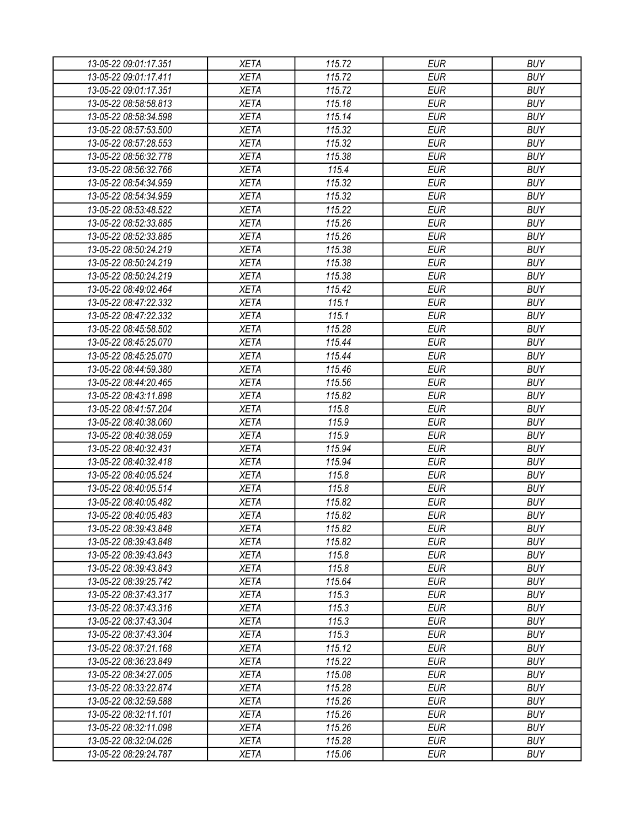| 13-05-22 09:01:17.351 | <b>XETA</b> | 115.72 | <b>EUR</b> | <b>BUY</b> |
|-----------------------|-------------|--------|------------|------------|
| 13-05-22 09:01:17.411 | <b>XETA</b> | 115.72 | <b>EUR</b> | <b>BUY</b> |
| 13-05-22 09:01:17.351 | <b>XETA</b> | 115.72 | <b>EUR</b> | <b>BUY</b> |
| 13-05-22 08:58:58.813 | <b>XETA</b> | 115.18 | <b>EUR</b> | <b>BUY</b> |
| 13-05-22 08:58:34.598 | <b>XETA</b> | 115.14 | <b>EUR</b> | <b>BUY</b> |
| 13-05-22 08:57:53.500 | <b>XETA</b> | 115.32 | <b>EUR</b> | <b>BUY</b> |
| 13-05-22 08:57:28.553 | <b>XETA</b> | 115.32 | <b>EUR</b> | <b>BUY</b> |
| 13-05-22 08:56:32.778 | <b>XETA</b> | 115.38 | <b>EUR</b> | <b>BUY</b> |
| 13-05-22 08:56:32.766 | <b>XETA</b> | 115.4  | <b>EUR</b> | <b>BUY</b> |
| 13-05-22 08:54:34.959 | <b>XETA</b> | 115.32 | <b>EUR</b> | <b>BUY</b> |
| 13-05-22 08:54:34.959 | <b>XETA</b> | 115.32 | <b>EUR</b> | <b>BUY</b> |
| 13-05-22 08:53:48.522 | <b>XETA</b> | 115.22 | <b>EUR</b> | <b>BUY</b> |
| 13-05-22 08:52:33.885 | <b>XETA</b> | 115.26 | <b>EUR</b> | <b>BUY</b> |
| 13-05-22 08:52:33.885 | <b>XETA</b> | 115.26 | <b>EUR</b> | <b>BUY</b> |
| 13-05-22 08:50:24.219 | <b>XETA</b> | 115.38 | <b>EUR</b> | <b>BUY</b> |
| 13-05-22 08:50:24.219 | <b>XETA</b> | 115.38 | <b>EUR</b> | <b>BUY</b> |
| 13-05-22 08:50:24.219 | <b>XETA</b> | 115.38 | <b>EUR</b> | <b>BUY</b> |
| 13-05-22 08:49:02.464 | <b>XETA</b> | 115.42 | <b>EUR</b> | <b>BUY</b> |
| 13-05-22 08:47:22.332 | <b>XETA</b> | 115.1  | <b>EUR</b> | <b>BUY</b> |
| 13-05-22 08:47:22.332 | <b>XETA</b> | 115.1  | <b>EUR</b> | <b>BUY</b> |
| 13-05-22 08:45:58.502 | <b>XETA</b> | 115.28 | <b>EUR</b> | <b>BUY</b> |
| 13-05-22 08:45:25.070 | <b>XETA</b> | 115.44 | <b>EUR</b> | <b>BUY</b> |
| 13-05-22 08:45:25.070 | <b>XETA</b> | 115.44 | <b>EUR</b> | <b>BUY</b> |
| 13-05-22 08:44:59.380 | <b>XETA</b> | 115.46 | <b>EUR</b> | <b>BUY</b> |
| 13-05-22 08:44:20.465 | <b>XETA</b> | 115.56 | <b>EUR</b> | <b>BUY</b> |
| 13-05-22 08:43:11.898 | <b>XETA</b> | 115.82 | <b>EUR</b> | <b>BUY</b> |
| 13-05-22 08:41:57.204 | <b>XETA</b> | 115.8  | <b>EUR</b> | <b>BUY</b> |
| 13-05-22 08:40:38.060 | <b>XETA</b> | 115.9  | <b>EUR</b> | <b>BUY</b> |
| 13-05-22 08:40:38.059 | <b>XETA</b> | 115.9  | <b>EUR</b> | <b>BUY</b> |
| 13-05-22 08:40:32.431 | <b>XETA</b> | 115.94 | <b>EUR</b> | <b>BUY</b> |
| 13-05-22 08:40:32.418 | <b>XETA</b> | 115.94 | <b>EUR</b> | <b>BUY</b> |
| 13-05-22 08:40:05.524 | <b>XETA</b> | 115.8  | <b>EUR</b> | <b>BUY</b> |
| 13-05-22 08:40:05.514 | <b>XETA</b> | 115.8  | <b>EUR</b> | <b>BUY</b> |
| 13-05-22 08:40:05.482 | <b>XETA</b> | 115.82 | <b>EUR</b> | <b>BUY</b> |
| 13-05-22 08:40:05.483 | <b>XETA</b> | 115.82 | <b>EUR</b> | <b>BUY</b> |
| 13-05-22 08:39:43.848 | <b>XETA</b> | 115.82 | <b>EUR</b> | <b>BUY</b> |
| 13-05-22 08:39:43.848 | <b>XETA</b> | 115.82 | <b>EUR</b> | <b>BUY</b> |
| 13-05-22 08:39:43.843 | <b>XETA</b> | 115.8  | <b>EUR</b> | <b>BUY</b> |
| 13-05-22 08:39:43.843 | <b>XETA</b> | 115.8  | <b>EUR</b> | <b>BUY</b> |
| 13-05-22 08:39:25.742 | <b>XETA</b> | 115.64 | <b>EUR</b> | <b>BUY</b> |
| 13-05-22 08:37:43.317 | XETA        | 115.3  | <b>EUR</b> | <b>BUY</b> |
| 13-05-22 08:37:43.316 | <b>XETA</b> | 115.3  | <b>EUR</b> | <b>BUY</b> |
| 13-05-22 08:37:43.304 | XETA        | 115.3  | <b>EUR</b> | <b>BUY</b> |
| 13-05-22 08:37:43.304 | <b>XETA</b> | 115.3  | <b>EUR</b> | <b>BUY</b> |
| 13-05-22 08:37:21.168 | <b>XETA</b> | 115.12 | <b>EUR</b> | <b>BUY</b> |
| 13-05-22 08:36:23.849 | <b>XETA</b> | 115.22 | <b>EUR</b> | <b>BUY</b> |
| 13-05-22 08:34:27.005 | <b>XETA</b> | 115.08 | <b>EUR</b> | <b>BUY</b> |
| 13-05-22 08:33:22.874 | <b>XETA</b> | 115.28 | <b>EUR</b> | <b>BUY</b> |
| 13-05-22 08:32:59.588 | <b>XETA</b> | 115.26 | <b>EUR</b> | <b>BUY</b> |
| 13-05-22 08:32:11.101 | <b>XETA</b> | 115.26 | <b>EUR</b> | <b>BUY</b> |
| 13-05-22 08:32:11.098 | <b>XETA</b> | 115.26 | <b>EUR</b> | <b>BUY</b> |
| 13-05-22 08:32:04.026 | <b>XETA</b> | 115.28 | <b>EUR</b> | <b>BUY</b> |
| 13-05-22 08:29:24.787 | <b>XETA</b> | 115.06 | <b>EUR</b> | <b>BUY</b> |